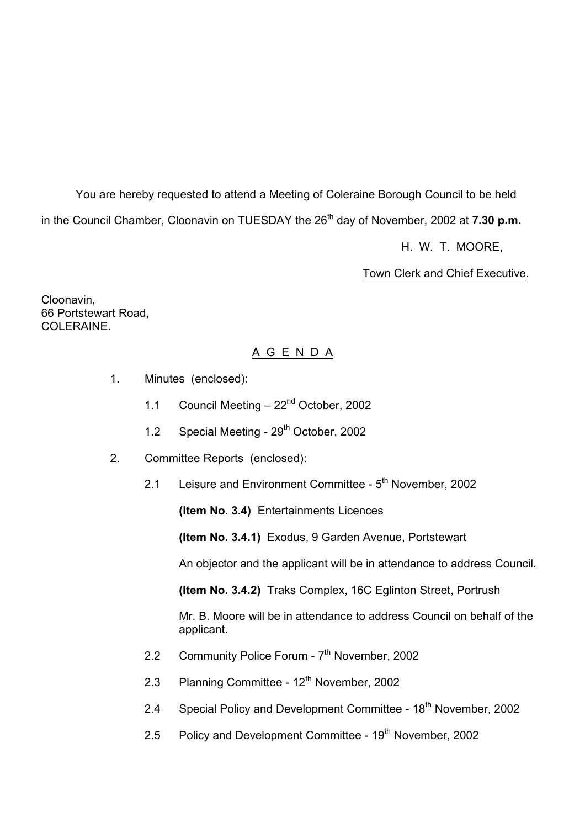You are hereby requested to attend a Meeting of Coleraine Borough Council to be held in the Council Chamber, Cloonavin on TUESDAY the 26<sup>th</sup> day of November, 2002 at **7.30 p.m.** 

H. W. T. MOORE,

Town Clerk and Chief Executive.

Cloonavin, 66 Portstewart Road, COLERAINE.

# A G E N D A

- 1. Minutes (enclosed):
	- 1.1 Council Meeting 22<sup>nd</sup> October, 2002
	- 1.2 Special Meeting 29<sup>th</sup> October, 2002
- 2. Committee Reports (enclosed):
	- 2.1 Leisure and Environment Committee 5<sup>th</sup> November, 2002

**(Item No. 3.4)** Entertainments Licences

**(Item No. 3.4.1)** Exodus, 9 Garden Avenue, Portstewart

An objector and the applicant will be in attendance to address Council.

**(Item No. 3.4.2)** Traks Complex, 16C Eglinton Street, Portrush

Mr. B. Moore will be in attendance to address Council on behalf of the applicant.

- 2.2 Community Police Forum 7<sup>th</sup> November, 2002
- 2.3 Planning Committee 12<sup>th</sup> November, 2002
- 2.4 Special Policy and Development Committee 18<sup>th</sup> November, 2002
- 2.5 Policy and Development Committee 19<sup>th</sup> November, 2002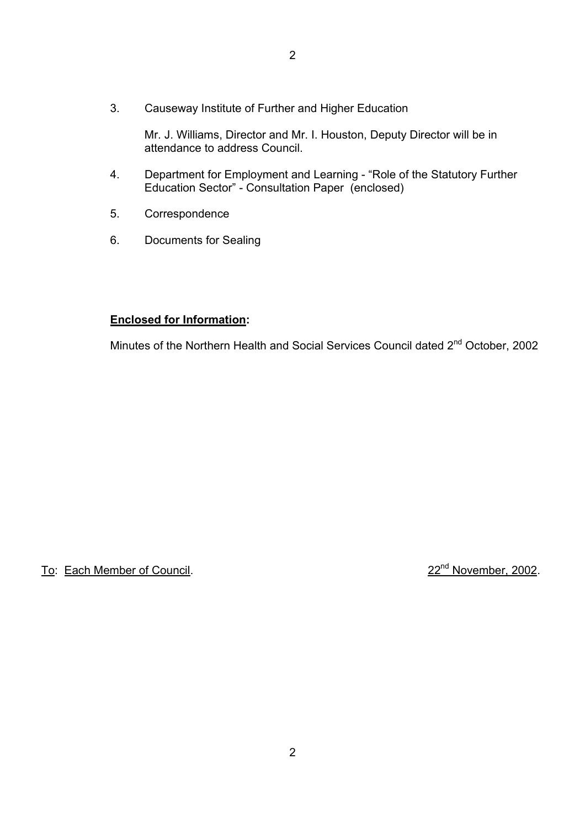3. Causeway Institute of Further and Higher Education

 Mr. J. Williams, Director and Mr. I. Houston, Deputy Director will be in attendance to address Council.

- 4. Department for Employment and Learning "Role of the Statutory Further Education Sector" - Consultation Paper (enclosed)
- 5. Correspondence
- 6. Documents for Sealing

#### **Enclosed for Information:**

Minutes of the Northern Health and Social Services Council dated 2<sup>nd</sup> October, 2002

# To: Each Member of Council. 22nd November, 2002.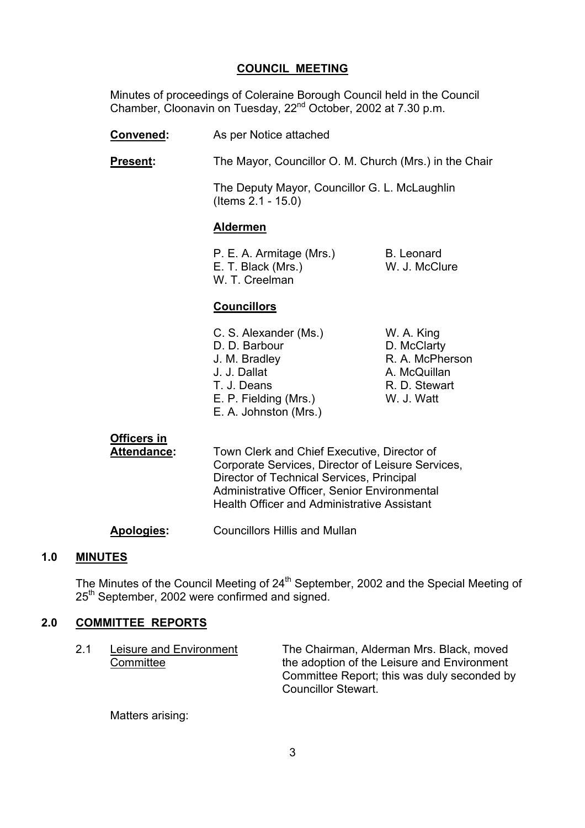#### **COUNCIL MEETING**

 Minutes of proceedings of Coleraine Borough Council held in the Council Chamber, Cloonavin on Tuesday, 22nd October, 2002 at 7.30 p.m.

- **Convened:** As per Notice attached
- **Present:** The Mayor, Councillor O. M. Church (Mrs.) in the Chair

 The Deputy Mayor, Councillor G. L. McLaughlin (Items 2.1 - 15.0)

#### **Aldermen**

| P. E. A. Armitage (Mrs.) | B. Leonard    |
|--------------------------|---------------|
| E. T. Black (Mrs.)       | W. J. McClure |
| W. T. Creelman           |               |

#### **Councillors**

| C. S. Alexander (Ms.) | W. A. King      |
|-----------------------|-----------------|
| D. D. Barbour         | D. McClarty     |
| J. M. Bradley         | R. A. McPherson |
| J. J. Dallat          | A. McQuillan    |
| T. J. Deans           | R. D. Stewart   |
| E. P. Fielding (Mrs.) | W. J. Watt      |
| E. A. Johnston (Mrs.) |                 |

## **Officers in**

 **Attendance:** Town Clerk and Chief Executive, Director of Corporate Services, Director of Leisure Services, Director of Technical Services, Principal Administrative Officer, Senior Environmental Health Officer and Administrative Assistant

**Apologies:** Councillors Hillis and Mullan

#### **1.0 MINUTES**

The Minutes of the Council Meeting of  $24<sup>th</sup>$  September, 2002 and the Special Meeting of 25<sup>th</sup> September, 2002 were confirmed and signed.

#### **2.0 COMMITTEE REPORTS**

| Leisure and Environment | The Chairman, Alderman Mrs. Black, moved    |
|-------------------------|---------------------------------------------|
| Committee               | the adoption of the Leisure and Environment |
|                         | Committee Report; this was duly seconded by |
|                         | Councillor Stewart.                         |

Matters arising: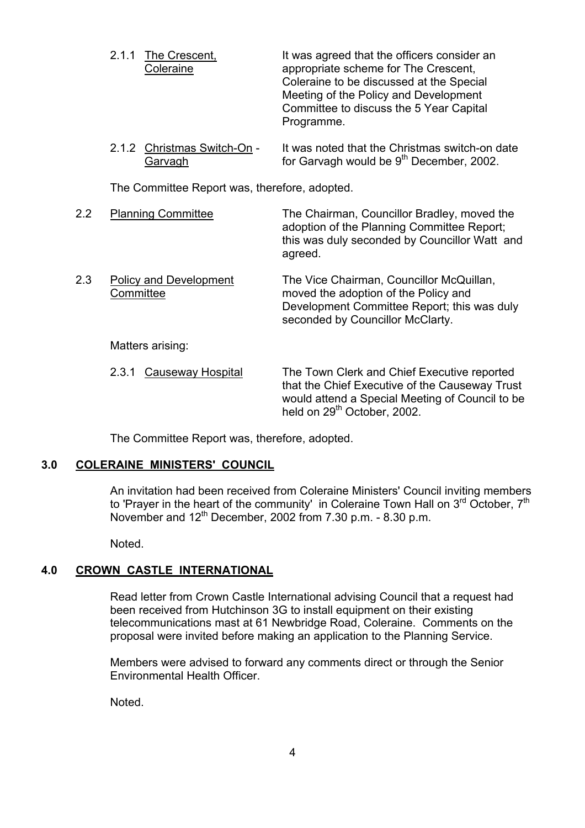- 2.1.1 The Crescent, It was agreed that the officers consider an Coleraine appropriate scheme for The Crescent, Coleraine to be discussed at the Special Meeting of the Policy and Development Committee to discuss the 5 Year Capital Programme.
- 2.1.2 Christmas Switch-On It was noted that the Christmas switch-on date  $\overline{\text{Garvagh}}$  for Garvagh would be  $9^{\text{th}}$  December, 2002.

The Committee Report was, therefore, adopted.

 2.2 Planning Committee The Chairman, Councillor Bradley, moved the adoption of the Planning Committee Report; this was duly seconded by Councillor Watt and agreed. 2.3 Policy and Development The Vice Chairman, Councillor McQuillan, Committee moved the adoption of the Policy and Development Committee Report; this was duly seconded by Councillor McClarty.

Matters arising:

2.3.1 Causeway Hospital The Town Clerk and Chief Executive reported that the Chief Executive of the Causeway Trust would attend a Special Meeting of Council to be held on 29<sup>th</sup> October, 2002.

The Committee Report was, therefore, adopted.

#### **3.0 COLERAINE MINISTERS' COUNCIL**

 An invitation had been received from Coleraine Ministers' Council inviting members to 'Prayer in the heart of the community' in Coleraine Town Hall on  $3<sup>rd</sup>$  October,  $7<sup>th</sup>$ November and  $12<sup>th</sup>$  December, 2002 from 7.30 p.m. - 8.30 p.m.

Noted.

## **4.0 CROWN CASTLE INTERNATIONAL**

 Read letter from Crown Castle International advising Council that a request had been received from Hutchinson 3G to install equipment on their existing telecommunications mast at 61 Newbridge Road, Coleraine. Comments on the proposal were invited before making an application to the Planning Service.

Members were advised to forward any comments direct or through the Senior Environmental Health Officer.

Noted.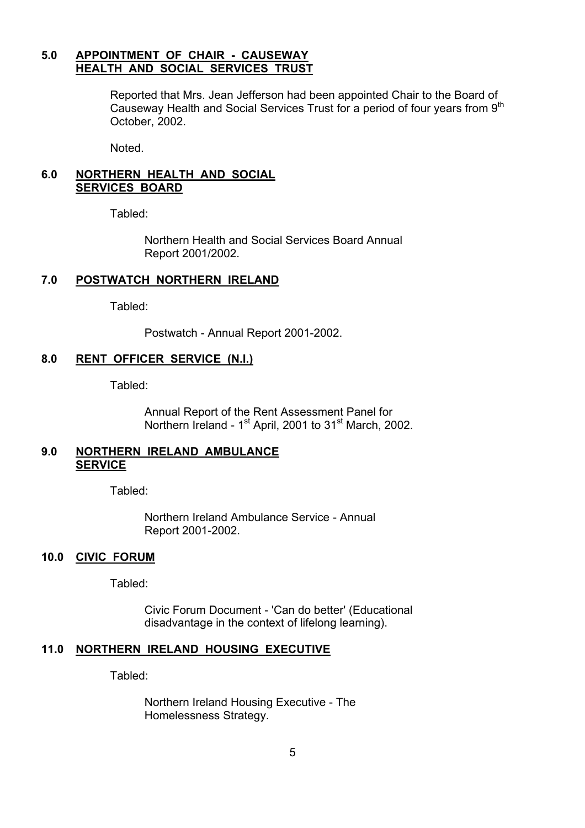#### **5.0 APPOINTMENT OF CHAIR - CAUSEWAY HEALTH AND SOCIAL SERVICES TRUST**

Reported that Mrs. Jean Jefferson had been appointed Chair to the Board of Causeway Health and Social Services Trust for a period of four years from 9<sup>th</sup> October, 2002.

Noted.

#### **6.0 NORTHERN HEALTH AND SOCIAL SERVICES BOARD**

Tabled:

 Northern Health and Social Services Board Annual Report 2001/2002.

#### **7.0 POSTWATCH NORTHERN IRELAND**

Tabled:

Postwatch - Annual Report 2001-2002.

#### **8.0 RENT OFFICER SERVICE (N.I.)**

Tabled:

 Annual Report of the Rent Assessment Panel for Northern Ireland - 1<sup>st</sup> April, 2001 to 31<sup>st</sup> March, 2002.

#### **9.0 NORTHERN IRELAND AMBULANCE SERVICE**

Tabled:

 Northern Ireland Ambulance Service - Annual Report 2001-2002.

#### **10.0 CIVIC FORUM**

Tabled:

 Civic Forum Document - 'Can do better' (Educational disadvantage in the context of lifelong learning).

#### **11.0 NORTHERN IRELAND HOUSING EXECUTIVE**

Tabled:

 Northern Ireland Housing Executive - The Homelessness Strategy.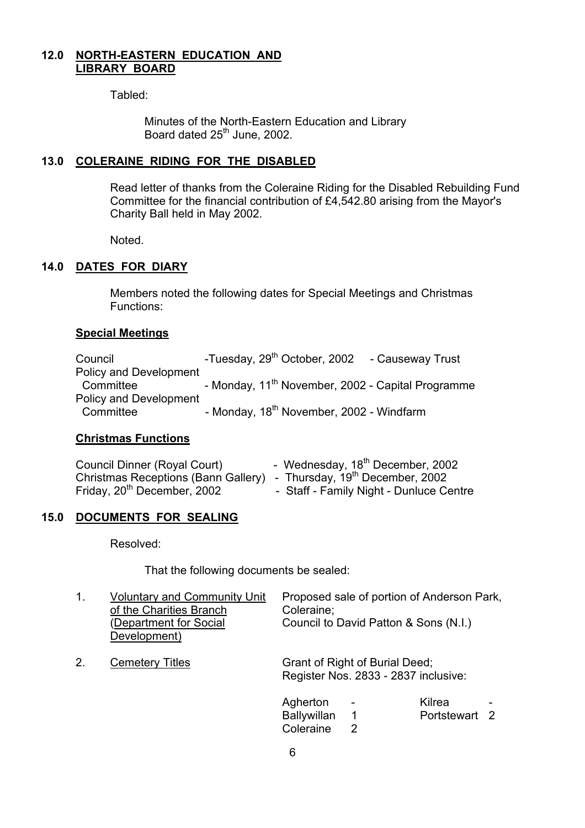#### **12.0 NORTH-EASTERN EDUCATION AND LIBRARY BOARD**

Tabled:

 Minutes of the North-Eastern Education and Library Board dated 25<sup>th</sup> June, 2002.

#### **13.0 COLERAINE RIDING FOR THE DISABLED**

Read letter of thanks from the Coleraine Riding for the Disabled Rebuilding Fund Committee for the financial contribution of £4,542.80 arising from the Mayor's Charity Ball held in May 2002.

Noted.

#### **14.0 DATES FOR DIARY**

 Members noted the following dates for Special Meetings and Christmas Functions:

#### **Special Meetings**

| Council                       |  |                                                      | -Tuesday, 29 <sup>th</sup> October, 2002 - Causeway Trust     |
|-------------------------------|--|------------------------------------------------------|---------------------------------------------------------------|
| <b>Policy and Development</b> |  |                                                      |                                                               |
| Committee                     |  |                                                      | - Monday, 11 <sup>th</sup> November, 2002 - Capital Programme |
| <b>Policy and Development</b> |  |                                                      |                                                               |
| Committee                     |  | - Monday, 18 <sup>th</sup> November, 2002 - Windfarm |                                                               |

#### **Christmas Functions**

| Council Dinner (Royal Court)                                                    | - Wednesday, 18 <sup>th</sup> December, 2002 |
|---------------------------------------------------------------------------------|----------------------------------------------|
| Christmas Receptions (Bann Gallery) - Thursday, 19 <sup>th</sup> December, 2002 |                                              |
| Friday, 20 <sup>th</sup> December, 2002                                         | - Staff - Family Night - Dunluce Centre      |

#### **15.0 DOCUMENTS FOR SEALING**

Resolved:

That the following documents be sealed:

| 1. | <b>Voluntary and Community Unit</b><br>of the Charities Branch<br>(Department for Social<br>Development) | Proposed sale of portion of Anderson Park,<br>Coleraine;<br>Council to David Patton & Sons (N.I.) |
|----|----------------------------------------------------------------------------------------------------------|---------------------------------------------------------------------------------------------------|
| 2. | <b>Cemetery Titles</b>                                                                                   | Grant of Right of Burial Deed;<br>Register Nos. 2833 - 2837 inclusive:                            |
|    |                                                                                                          | Kilrea<br>Agherton<br>$\overline{\phantom{a}}$<br>$\qquad \qquad$                                 |

Coleraine 2

Ballywillan 1 Portstewart 2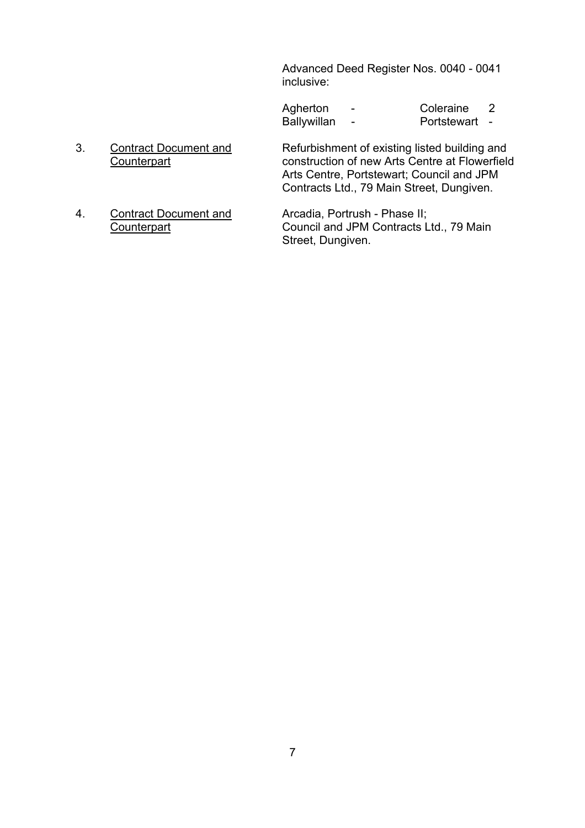Advanced Deed Register Nos. 0040 - 0041 inclusive:

| Agherton    | $\overline{\phantom{0}}$ | Coleraine   |  |
|-------------|--------------------------|-------------|--|
| Ballywillan | $\sim$ $\sim$            | Portstewart |  |

- 3. Contract Document and Refurbishment of existing listed building and<br>Counterpart construction of new Arts Centre at Flowerfield construction of new Arts Centre at Flowerfield Arts Centre, Portstewart; Council and JPM Contracts Ltd., 79 Main Street, Dungiven.
- 4. Contract Document and Arcadia, Portrush Phase II; Counterpart Council and JPM Contracts Ltd., 79 Main

Street, Dungiven.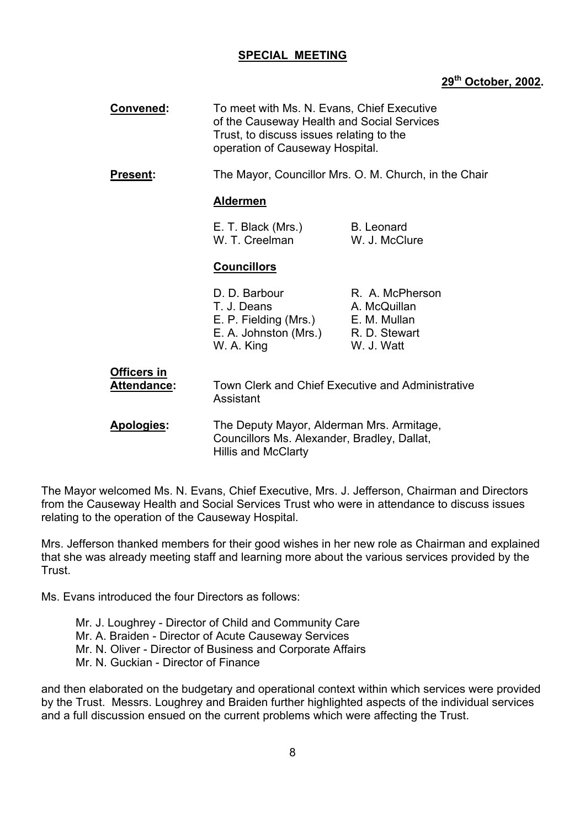#### **SPECIAL MEETING**

#### **29th October, 2002.**

| <b>Convened:</b>   |             | To meet with Ms. N. Evans, Chief Executive<br>of the Causeway Health and Social Services<br>Trust, to discuss issues relating to the<br>operation of Causeway Hospital. |                                                                                |
|--------------------|-------------|-------------------------------------------------------------------------------------------------------------------------------------------------------------------------|--------------------------------------------------------------------------------|
| <b>Present:</b>    |             |                                                                                                                                                                         | The Mayor, Councillor Mrs. O. M. Church, in the Chair                          |
|                    |             | <b>Aldermen</b>                                                                                                                                                         |                                                                                |
|                    |             | E. T. Black (Mrs.)<br>W. T. Creelman                                                                                                                                    | <b>B.</b> Leonard<br>W. J. McClure                                             |
|                    |             | <u>Councillors</u>                                                                                                                                                      |                                                                                |
|                    |             | D. D. Barbour<br>T. J. Deans<br>E. P. Fielding (Mrs.)<br>E. A. Johnston (Mrs.)<br>W. A. King                                                                            | R. A. McPherson<br>A. McQuillan<br>E. M. Mullan<br>R. D. Stewart<br>W. J. Watt |
| <b>Officers in</b> | Attendance: | Town Clerk and Chief Executive and Administrative<br>Assistant                                                                                                          |                                                                                |
| Apologies:         |             | The Deputy Mayor, Alderman Mrs. Armitage,<br>Councillors Ms. Alexander, Bradley, Dallat,<br><b>Hillis and McClarty</b>                                                  |                                                                                |

The Mayor welcomed Ms. N. Evans, Chief Executive, Mrs. J. Jefferson, Chairman and Directors from the Causeway Health and Social Services Trust who were in attendance to discuss issues relating to the operation of the Causeway Hospital.

Mrs. Jefferson thanked members for their good wishes in her new role as Chairman and explained that she was already meeting staff and learning more about the various services provided by the **Trust** 

Ms. Evans introduced the four Directors as follows:

 Mr. J. Loughrey - Director of Child and Community Care Mr. A. Braiden - Director of Acute Causeway Services Mr. N. Oliver - Director of Business and Corporate Affairs Mr. N. Guckian - Director of Finance

and then elaborated on the budgetary and operational context within which services were provided by the Trust. Messrs. Loughrey and Braiden further highlighted aspects of the individual services and a full discussion ensued on the current problems which were affecting the Trust.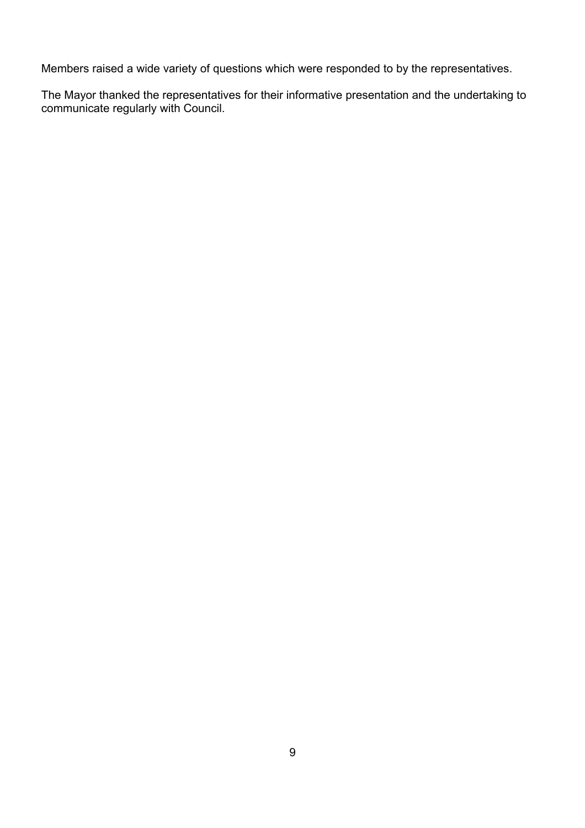Members raised a wide variety of questions which were responded to by the representatives.

The Mayor thanked the representatives for their informative presentation and the undertaking to communicate regularly with Council.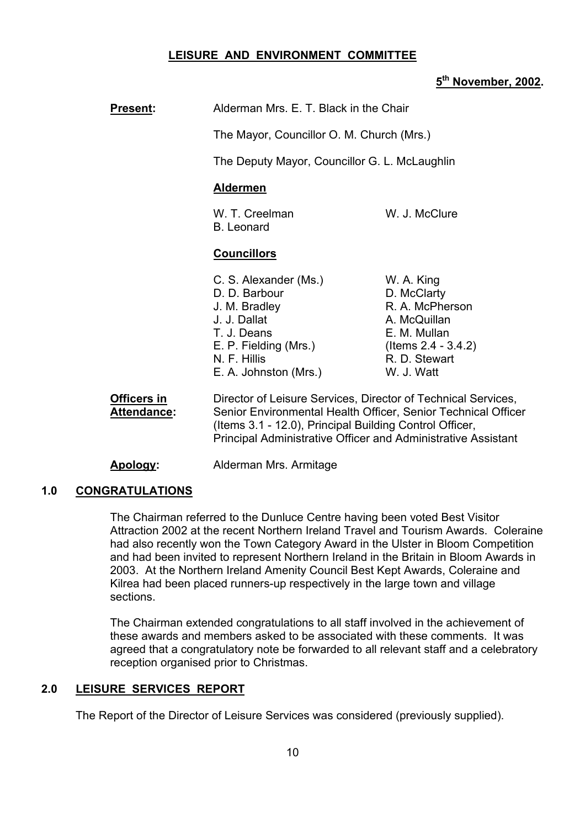#### **LEISURE AND ENVIRONMENT COMMITTEE**

#### **5th November, 2002.**

| <b>Present:</b>                   | Alderman Mrs. E. T. Black in the Chair<br>The Mayor, Councillor O. M. Church (Mrs.)                                                                                                                                                                        |                                                                                                                                       |
|-----------------------------------|------------------------------------------------------------------------------------------------------------------------------------------------------------------------------------------------------------------------------------------------------------|---------------------------------------------------------------------------------------------------------------------------------------|
|                                   |                                                                                                                                                                                                                                                            |                                                                                                                                       |
|                                   | The Deputy Mayor, Councillor G. L. McLaughlin                                                                                                                                                                                                              |                                                                                                                                       |
|                                   | <b>Aldermen</b>                                                                                                                                                                                                                                            |                                                                                                                                       |
|                                   | W. T. Creelman<br><b>B.</b> Leonard                                                                                                                                                                                                                        | W. J. McClure                                                                                                                         |
|                                   | <b>Councillors</b>                                                                                                                                                                                                                                         |                                                                                                                                       |
|                                   | C. S. Alexander (Ms.)<br>D. D. Barbour<br>J. M. Bradley<br>J. J. Dallat<br>T. J. Deans<br>E. P. Fielding (Mrs.)<br>N. F. Hillis<br>E. A. Johnston (Mrs.)                                                                                                   | W. A. King<br>D. McClarty<br>R. A. McPherson<br>A. McQuillan<br>E. M. Mullan<br>$($ ltems 2.4 - 3.4.2)<br>R. D. Stewart<br>W. J. Watt |
| Officers in<br><b>Attendance:</b> | Director of Leisure Services, Director of Technical Services,<br>Senior Environmental Health Officer, Senior Technical Officer<br>(Items 3.1 - 12.0), Principal Building Control Officer,<br>Principal Administrative Officer and Administrative Assistant |                                                                                                                                       |

**Apology:** Alderman Mrs. Armitage

#### **1.0 CONGRATULATIONS**

The Chairman referred to the Dunluce Centre having been voted Best Visitor Attraction 2002 at the recent Northern Ireland Travel and Tourism Awards. Coleraine had also recently won the Town Category Award in the Ulster in Bloom Competition and had been invited to represent Northern Ireland in the Britain in Bloom Awards in 2003. At the Northern Ireland Amenity Council Best Kept Awards, Coleraine and Kilrea had been placed runners-up respectively in the large town and village sections.

The Chairman extended congratulations to all staff involved in the achievement of these awards and members asked to be associated with these comments. It was agreed that a congratulatory note be forwarded to all relevant staff and a celebratory reception organised prior to Christmas.

#### **2.0 LEISURE SERVICES REPORT**

The Report of the Director of Leisure Services was considered (previously supplied).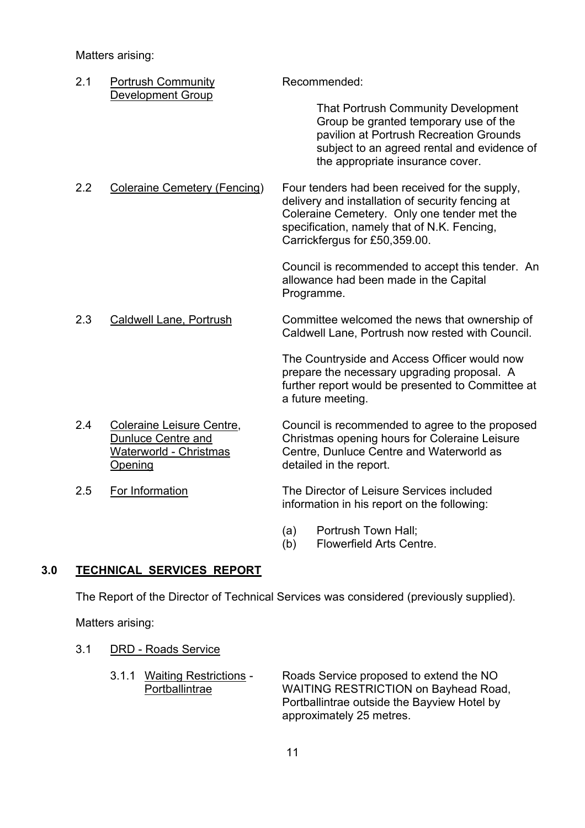Matters arising:

| 2.1 | <b>Portrush Community</b><br>Development Group                                       | Recommended:                                                                                                                                                                                                                      |
|-----|--------------------------------------------------------------------------------------|-----------------------------------------------------------------------------------------------------------------------------------------------------------------------------------------------------------------------------------|
|     |                                                                                      | <b>That Portrush Community Development</b><br>Group be granted temporary use of the<br>pavilion at Portrush Recreation Grounds<br>subject to an agreed rental and evidence of<br>the appropriate insurance cover.                 |
| 2.2 | <b>Coleraine Cemetery (Fencing)</b>                                                  | Four tenders had been received for the supply,<br>delivery and installation of security fencing at<br>Coleraine Cemetery. Only one tender met the<br>specification, namely that of N.K. Fencing,<br>Carrickfergus for £50,359.00. |
|     |                                                                                      | Council is recommended to accept this tender. An<br>allowance had been made in the Capital<br>Programme.                                                                                                                          |
| 2.3 | Caldwell Lane, Portrush                                                              | Committee welcomed the news that ownership of<br>Caldwell Lane, Portrush now rested with Council.                                                                                                                                 |
|     |                                                                                      | The Countryside and Access Officer would now<br>prepare the necessary upgrading proposal. A<br>further report would be presented to Committee at<br>a future meeting.                                                             |
| 2.4 | Coleraine Leisure Centre,<br>Dunluce Centre and<br>Waterworld - Christmas<br>Opening | Council is recommended to agree to the proposed<br>Christmas opening hours for Coleraine Leisure<br>Centre, Dunluce Centre and Waterworld as<br>detailed in the report.                                                           |
| 2.5 | For Information                                                                      | The Director of Leisure Services included                                                                                                                                                                                         |

(a) Portrush Town Hall;

information in his report on the following:

(b) Flowerfield Arts Centre.

#### **3.0 TECHNICAL SERVICES REPORT**

The Report of the Director of Technical Services was considered (previously supplied).

Matters arising:

- 3.1 DRD Roads Service
	- 3.1.1 Waiting Restrictions Roads Service proposed to extend the NO Portballintrae WAITING RESTRICTION on Bayhead Road, Portballintrae outside the Bayview Hotel by approximately 25 metres.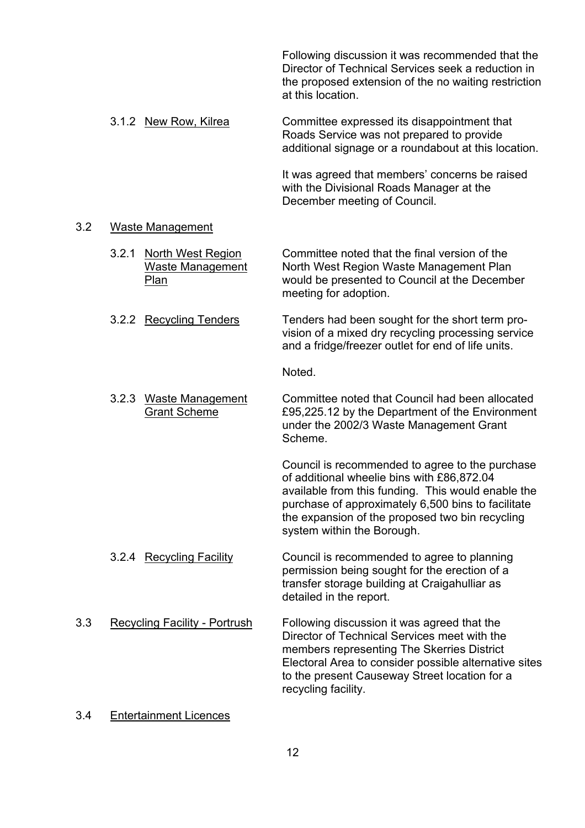Following discussion it was recommended that the Director of Technical Services seek a reduction in the proposed extension of the no waiting restriction at this location.

 3.1.2 New Row, Kilrea Committee expressed its disappointment that Roads Service was not prepared to provide additional signage or a roundabout at this location.

> It was agreed that members' concerns be raised with the Divisional Roads Manager at the December meeting of Council.

#### 3.2 Waste Management

- 3.2.1 North West Region Committee noted that the final version of the Waste Management North West Region Waste Management Plan Plan would be presented to Council at the December meeting for adoption.
- 3.2.2 Recycling Tenders Tenders had been sought for the short term provision of a mixed dry recycling processing service and a fridge/freezer outlet for end of life units.

Noted.

 3.2.3 Waste Management Committee noted that Council had been allocated Grant Scheme **E95,225.12** by the Department of the Environment under the 2002/3 Waste Management Grant Scheme.

> Council is recommended to agree to the purchase of additional wheelie bins with £86,872.04 available from this funding. This would enable the purchase of approximately 6,500 bins to facilitate the expansion of the proposed two bin recycling system within the Borough.

- 3.2.4 Recycling Facility Council is recommended to agree to planning permission being sought for the erection of a transfer storage building at Craigahulliar as detailed in the report.
- 3.3 Recycling Facility Portrush Following discussion it was agreed that the Director of Technical Services meet with the members representing The Skerries District Electoral Area to consider possible alternative sites to the present Causeway Street location for a recycling facility.
- 3.4 Entertainment Licences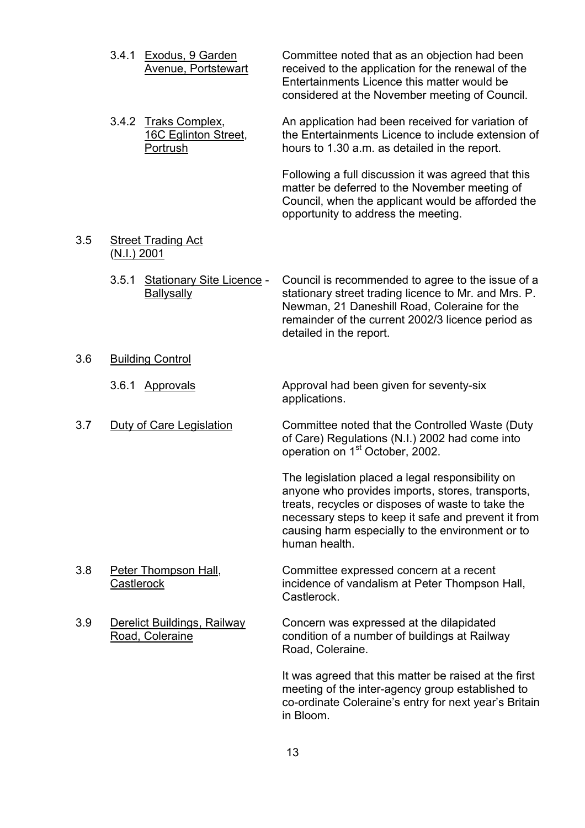|     | 3.4.1 Exodus, 9 Garden<br><b>Avenue, Portstewart</b>               | Committee noted that as an objection had been<br>received to the application for the renewal of the<br>Entertainments Licence this matter would be<br>considered at the November meeting of Council.                                                                                  |
|-----|--------------------------------------------------------------------|---------------------------------------------------------------------------------------------------------------------------------------------------------------------------------------------------------------------------------------------------------------------------------------|
|     | <b>Traks Complex,</b><br>3.4.2<br>16C Eglinton Street,<br>Portrush | An application had been received for variation of<br>the Entertainments Licence to include extension of<br>hours to 1.30 a.m. as detailed in the report.                                                                                                                              |
|     |                                                                    | Following a full discussion it was agreed that this<br>matter be deferred to the November meeting of<br>Council, when the applicant would be afforded the<br>opportunity to address the meeting.                                                                                      |
| 3.5 | <b>Street Trading Act</b><br>(N.I.) 2001                           |                                                                                                                                                                                                                                                                                       |
|     | <b>Stationary Site Licence -</b><br>3.5.1<br>Ballysally            | Council is recommended to agree to the issue of a<br>stationary street trading licence to Mr. and Mrs. P.<br>Newman, 21 Daneshill Road, Coleraine for the<br>remainder of the current 2002/3 licence period as<br>detailed in the report.                                             |
| 3.6 | <b>Building Control</b>                                            |                                                                                                                                                                                                                                                                                       |
|     | 3.6.1 Approvals                                                    | Approval had been given for seventy-six<br>applications.                                                                                                                                                                                                                              |
| 3.7 | Duty of Care Legislation                                           | Committee noted that the Controlled Waste (Duty<br>of Care) Regulations (N.I.) 2002 had come into<br>operation on 1 <sup>st</sup> October, 2002.                                                                                                                                      |
|     |                                                                    | The legislation placed a legal responsibility on<br>anyone who provides imports, stores, transports,<br>treats, recycles or disposes of waste to take the<br>necessary steps to keep it safe and prevent it from<br>causing harm especially to the environment or to<br>human health. |
| 3.8 | Peter Thompson Hall,<br>Castlerock                                 | Committee expressed concern at a recent<br>incidence of vandalism at Peter Thompson Hall,<br>Castlerock.                                                                                                                                                                              |
| 3.9 | Derelict Buildings, Railway<br>Road, Coleraine                     | Concern was expressed at the dilapidated<br>condition of a number of buildings at Railway<br>Road, Coleraine.                                                                                                                                                                         |

It was agreed that this matter be raised at the first meeting of the inter-agency group established to co-ordinate Coleraine's entry for next year's Britain in Bloom.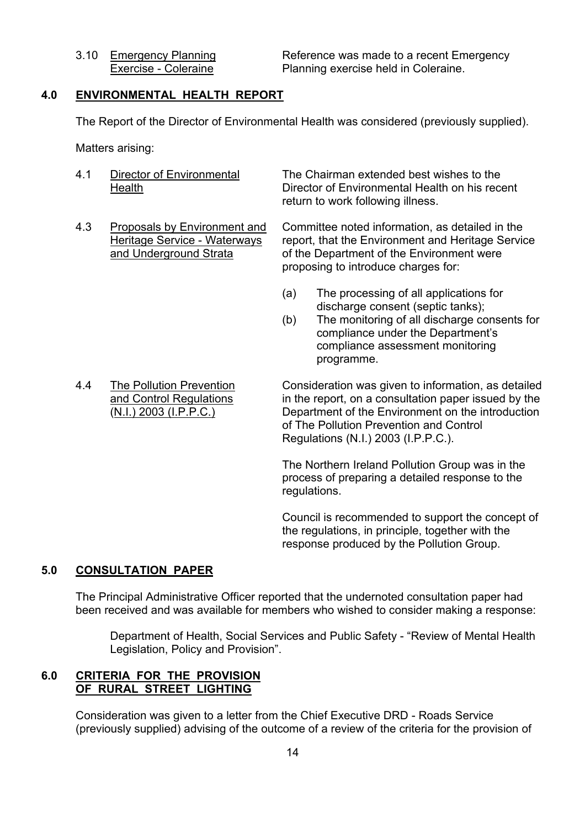3.10 Emergency Planning Reference was made to a recent Emergency Exercise - Coleraine **Planning exercise held in Coleraine.** 

#### **4.0 ENVIRONMENTAL HEALTH REPORT**

The Report of the Director of Environmental Health was considered (previously supplied).

Matters arising:

- 
- 

 4.1 Director of Environmental The Chairman extended best wishes to the Health Director of Environmental Health on his recent return to work following illness.

4.3 Proposals by Environment and Committee noted information, as detailed in the Heritage Service - Waterways report, that the Environment and Heritage Service and Underground Strata of the Department of the Environment were proposing to introduce charges for:

- (a) The processing of all applications for discharge consent (septic tanks);
- (b) The monitoring of all discharge consents for compliance under the Department's compliance assessment monitoring programme.
- 

 4.4 The Pollution Prevention Consideration was given to information, as detailed and Control Regulations in the report, on a consultation paper issued by the (N.I.) 2003 (I.P.P.C.) Department of the Environment on the introduction of The Pollution Prevention and Control Regulations (N.I.) 2003 (I.P.P.C.).

> The Northern Ireland Pollution Group was in the process of preparing a detailed response to the regulations.

Council is recommended to support the concept of the regulations, in principle, together with the response produced by the Pollution Group.

#### **5.0 CONSULTATION PAPER**

 The Principal Administrative Officer reported that the undernoted consultation paper had been received and was available for members who wished to consider making a response:

 Department of Health, Social Services and Public Safety - "Review of Mental Health Legislation, Policy and Provision".

#### **6.0 CRITERIA FOR THE PROVISION OF RURAL STREET LIGHTING**

Consideration was given to a letter from the Chief Executive DRD - Roads Service (previously supplied) advising of the outcome of a review of the criteria for the provision of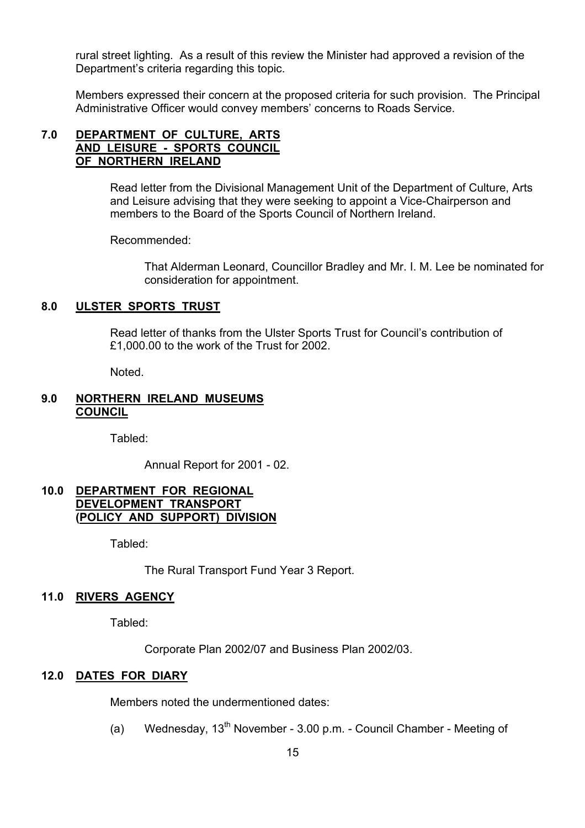rural street lighting. As a result of this review the Minister had approved a revision of the Department's criteria regarding this topic.

Members expressed their concern at the proposed criteria for such provision. The Principal Administrative Officer would convey members' concerns to Roads Service.

#### **7.0 DEPARTMENT OF CULTURE, ARTS AND LEISURE - SPORTS COUNCIL OF NORTHERN IRELAND**

Read letter from the Divisional Management Unit of the Department of Culture, Arts and Leisure advising that they were seeking to appoint a Vice-Chairperson and members to the Board of the Sports Council of Northern Ireland.

Recommended:

 That Alderman Leonard, Councillor Bradley and Mr. I. M. Lee be nominated for consideration for appointment.

#### **8.0 ULSTER SPORTS TRUST**

 Read letter of thanks from the Ulster Sports Trust for Council's contribution of £1,000.00 to the work of the Trust for 2002.

Noted.

#### **9.0 NORTHERN IRELAND MUSEUMS COUNCIL**

Tabled:

Annual Report for 2001 - 02.

#### **10.0 DEPARTMENT FOR REGIONAL DEVELOPMENT TRANSPORT (POLICY AND SUPPORT) DIVISION**

Tabled:

The Rural Transport Fund Year 3 Report.

#### **11.0 RIVERS AGENCY**

Tabled:

Corporate Plan 2002/07 and Business Plan 2002/03.

#### **12.0 DATES FOR DIARY**

Members noted the undermentioned dates:

(a) Wednesday,  $13<sup>th</sup>$  November - 3.00 p.m. - Council Chamber - Meeting of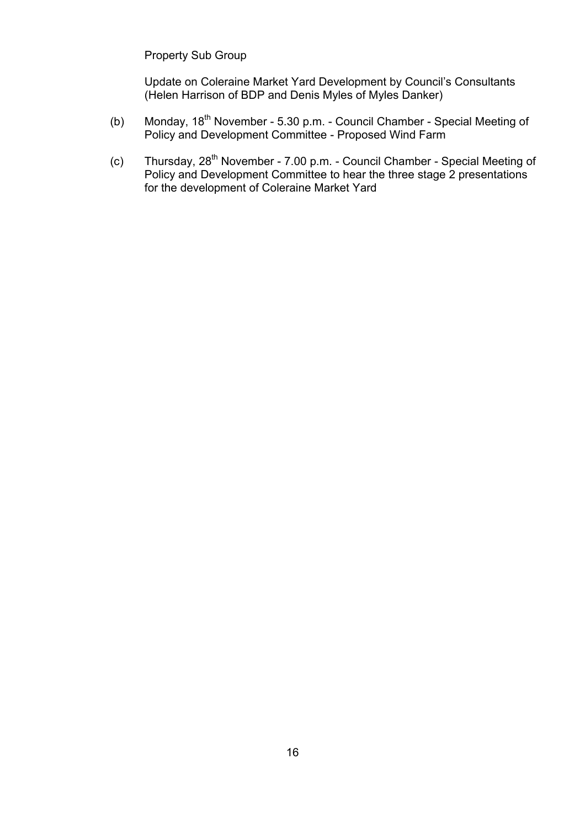Property Sub Group

 Update on Coleraine Market Yard Development by Council's Consultants (Helen Harrison of BDP and Denis Myles of Myles Danker)

- (b) Monday, 18<sup>th</sup> November 5.30 p.m. Council Chamber Special Meeting of Policy and Development Committee - Proposed Wind Farm
	- (c) Thursday, 28<sup>th</sup> November 7.00 p.m. Council Chamber Special Meeting of Policy and Development Committee to hear the three stage 2 presentations for the development of Coleraine Market Yard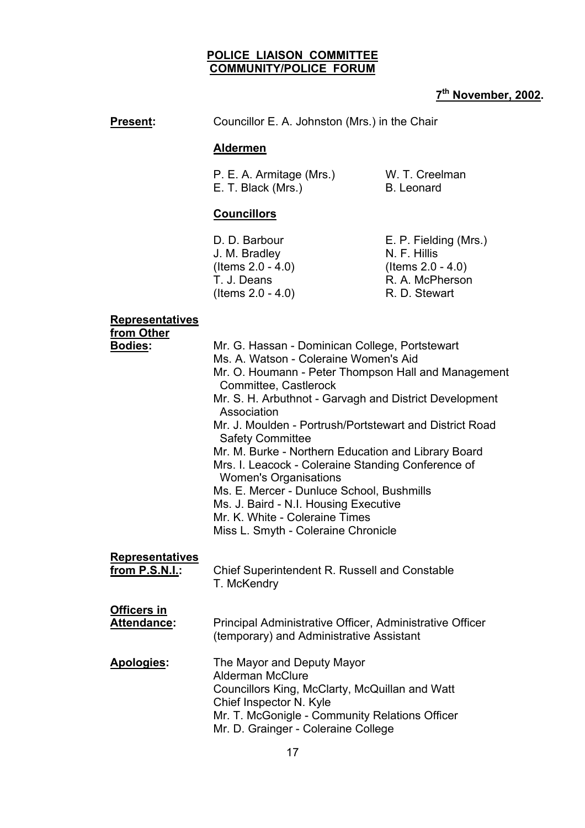#### **POLICE LIAISON COMMITTEE COMMUNITY/POLICE FORUM**

# **7th November, 2002.**

**Present:** Councillor E. A. Johnston (Mrs.) in the Chair

#### **Aldermen**

 P. E. A. Armitage (Mrs.) W. T. Creelman E. T. Black (Mrs.) B. Leonard

#### **Councillors**

J. M. Bradlev (Items 2.0 - 4.0) R. D. Stewart

D. D. Barbour **E. P. Fielding (Mrs.)**<br>
J. M. Bradlev **N. F. Hillis**  (Items 2.0 - 4.0) (Items 2.0 - 4.0) T. J. Deans R. A. McPherson

#### **Representatives**

 **from Other**

| <b>Bodies:</b>         | Mr. G. Hassan - Dominican College, Portstewart<br>Ms. A. Watson - Coleraine Women's Aid<br>Mr. O. Houmann - Peter Thompson Hall and Management<br>Committee, Castlerock<br>Mr. S. H. Arbuthnot - Garvagh and District Development<br>Association<br>Mr. J. Moulden - Portrush/Portstewart and District Road<br><b>Safety Committee</b><br>Mr. M. Burke - Northern Education and Library Board<br>Mrs. I. Leacock - Coleraine Standing Conference of<br><b>Women's Organisations</b><br>Ms. E. Mercer - Dunluce School, Bushmills<br>Ms. J. Baird - N.I. Housing Executive<br>Mr. K. White - Coleraine Times<br>Miss L. Smyth - Coleraine Chronicle |
|------------------------|----------------------------------------------------------------------------------------------------------------------------------------------------------------------------------------------------------------------------------------------------------------------------------------------------------------------------------------------------------------------------------------------------------------------------------------------------------------------------------------------------------------------------------------------------------------------------------------------------------------------------------------------------|
| <b>Representatives</b> | Chief Superintendent R. Russell and Constable                                                                                                                                                                                                                                                                                                                                                                                                                                                                                                                                                                                                      |
| from P.S.N.I.:         | T. McKendry                                                                                                                                                                                                                                                                                                                                                                                                                                                                                                                                                                                                                                        |
| <b>Officers in</b>     | Principal Administrative Officer, Administrative Officer                                                                                                                                                                                                                                                                                                                                                                                                                                                                                                                                                                                           |
| <b>Attendance:</b>     | (temporary) and Administrative Assistant                                                                                                                                                                                                                                                                                                                                                                                                                                                                                                                                                                                                           |
| Apologies:             | The Mayor and Deputy Mayor<br><b>Alderman McClure</b><br>Councillors King, McClarty, McQuillan and Watt<br>Chief Inspector N. Kyle<br>Mr. T. McGonigle - Community Relations Officer<br>Mr. D. Grainger - Coleraine College                                                                                                                                                                                                                                                                                                                                                                                                                        |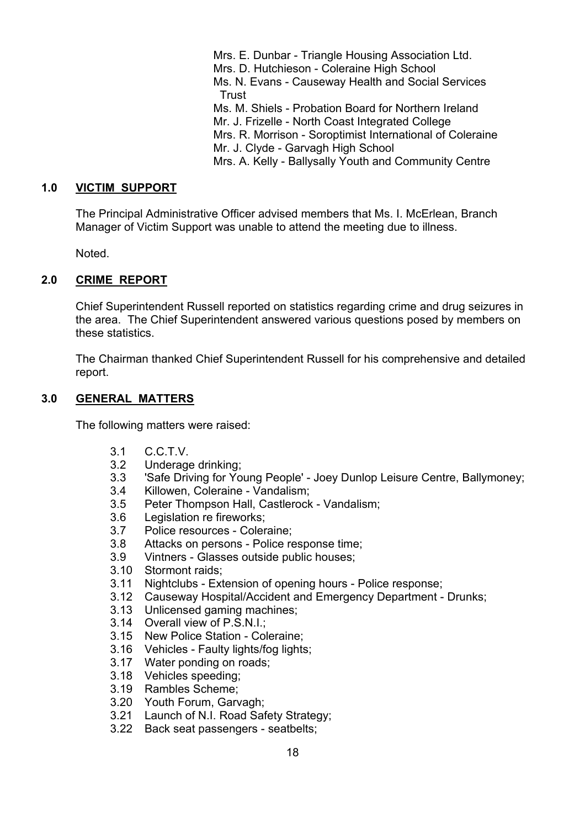Mrs. E. Dunbar - Triangle Housing Association Ltd. Mrs. D. Hutchieson - Coleraine High School Ms. N. Evans - Causeway Health and Social Services Trust Ms. M. Shiels - Probation Board for Northern Ireland Mr. J. Frizelle - North Coast Integrated College Mrs. R. Morrison - Soroptimist International of Coleraine Mr. J. Clyde - Garvagh High School Mrs. A. Kelly - Ballysally Youth and Community Centre

#### **1.0 VICTIM SUPPORT**

 The Principal Administrative Officer advised members that Ms. I. McErlean, Branch Manager of Victim Support was unable to attend the meeting due to illness.

Noted.

#### **2.0 CRIME REPORT**

 Chief Superintendent Russell reported on statistics regarding crime and drug seizures in the area. The Chief Superintendent answered various questions posed by members on these statistics.

The Chairman thanked Chief Superintendent Russell for his comprehensive and detailed report.

#### **3.0 GENERAL MATTERS**

The following matters were raised:

- 3.1 C.C.T.V.
- 3.2 Underage drinking;
- 3.3 'Safe Driving for Young People' Joey Dunlop Leisure Centre, Ballymoney;
- 3.4 Killowen, Coleraine Vandalism;
- 3.5 Peter Thompson Hall, Castlerock Vandalism;
- 3.6 Legislation re fireworks;
- 3.7 Police resources Coleraine;
- 3.8 Attacks on persons Police response time;
- 3.9 Vintners Glasses outside public houses;
- 3.10 Stormont raids;
- 3.11 Nightclubs Extension of opening hours Police response;
- 3.12 Causeway Hospital/Accident and Emergency Department Drunks;
- 3.13 Unlicensed gaming machines;
- 3.14 Overall view of P.S.N.I.;
- 3.15 New Police Station Coleraine;
- 3.16 Vehicles Faulty lights/fog lights;
- 3.17 Water ponding on roads;
- 3.18 Vehicles speeding;
- 3.19 Rambles Scheme;
- 3.20 Youth Forum, Garvagh;
- 3.21 Launch of N.I. Road Safety Strategy;
- 3.22 Back seat passengers seatbelts;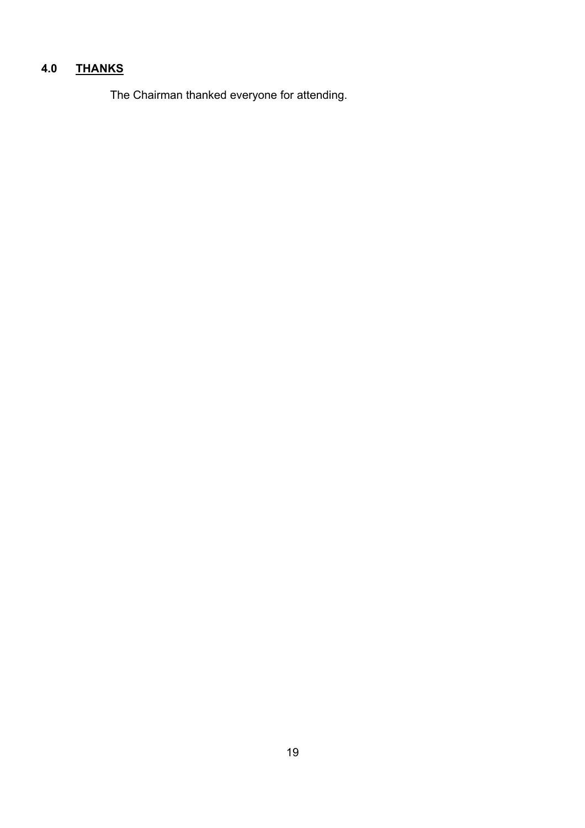#### $4.0$ **4.0 THANKS**

The Chairman thanked everyone for attending.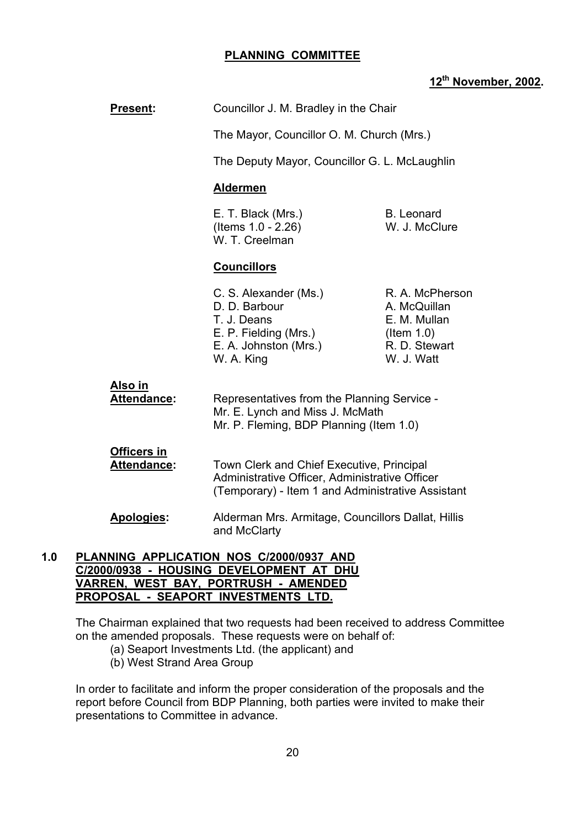#### **PLANNING COMMITTEE**

#### **12th November, 2002.**

| <b>Present:</b>                      | Councillor J. M. Bradley in the Chair                                                                                                            |                                                                                                 |
|--------------------------------------|--------------------------------------------------------------------------------------------------------------------------------------------------|-------------------------------------------------------------------------------------------------|
|                                      | The Mayor, Councillor O. M. Church (Mrs.)                                                                                                        |                                                                                                 |
|                                      | The Deputy Mayor, Councillor G. L. McLaughlin                                                                                                    |                                                                                                 |
|                                      | <b>Aldermen</b>                                                                                                                                  |                                                                                                 |
|                                      | E. T. Black (Mrs.)<br>(Items 1.0 - 2.26)<br>W. T. Creelman                                                                                       | <b>B.</b> Leonard<br>W. J. McClure                                                              |
|                                      | <b>Councillors</b>                                                                                                                               |                                                                                                 |
|                                      | C. S. Alexander (Ms.)<br>D. D. Barbour<br>T. J. Deans<br>E. P. Fielding (Mrs.)<br>E. A. Johnston (Mrs.)<br>W. A. King                            | R. A. McPherson<br>A. McQuillan<br>E. M. Mullan<br>$($ ltem 1.0)<br>R. D. Stewart<br>W. J. Watt |
| <u>Also in</u><br><b>Attendance:</b> | Representatives from the Planning Service -<br>Mr. E. Lynch and Miss J. McMath<br>Mr. P. Fleming, BDP Planning (Item 1.0)                        |                                                                                                 |
| <b>Officers in</b><br>Attendance:    | Town Clerk and Chief Executive, Principal<br>Administrative Officer, Administrative Officer<br>(Temporary) - Item 1 and Administrative Assistant |                                                                                                 |
| Apologies:                           | Alderman Mrs. Armitage, Councillors Dallat, Hillis<br>and McClarty                                                                               |                                                                                                 |

#### **1.0 PLANNING APPLICATION NOS C/2000/0937 AND C/2000/0938 - HOUSING DEVELOPMENT AT DHU VARREN, WEST BAY, PORTRUSH - AMENDED PROPOSAL - SEAPORT INVESTMENTS LTD.**

The Chairman explained that two requests had been received to address Committee on the amended proposals. These requests were on behalf of:

- (a) Seaport Investments Ltd. (the applicant) and
- (b) West Strand Area Group

In order to facilitate and inform the proper consideration of the proposals and the report before Council from BDP Planning, both parties were invited to make their presentations to Committee in advance.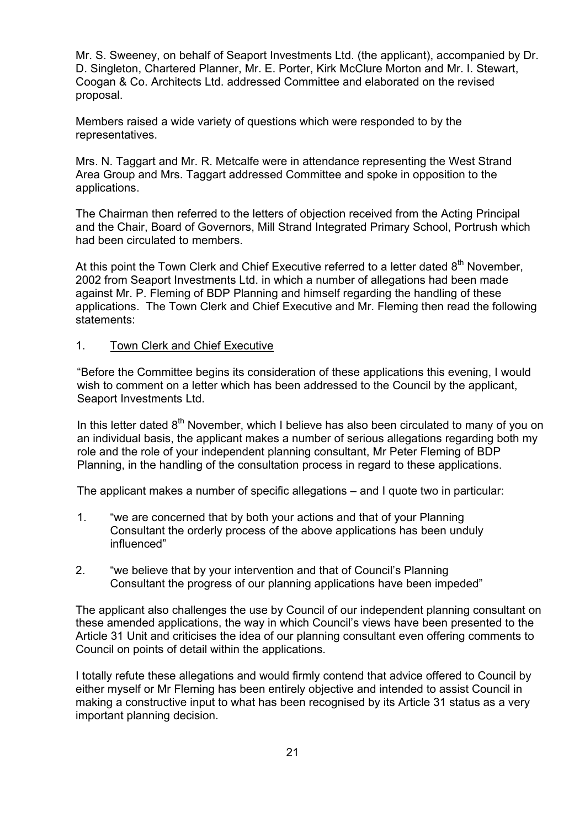Mr. S. Sweeney, on behalf of Seaport Investments Ltd. (the applicant), accompanied by Dr. D. Singleton, Chartered Planner, Mr. E. Porter, Kirk McClure Morton and Mr. I. Stewart, Coogan & Co. Architects Ltd. addressed Committee and elaborated on the revised proposal.

Members raised a wide variety of questions which were responded to by the representatives.

Mrs. N. Taggart and Mr. R. Metcalfe were in attendance representing the West Strand Area Group and Mrs. Taggart addressed Committee and spoke in opposition to the applications.

The Chairman then referred to the letters of objection received from the Acting Principal and the Chair, Board of Governors, Mill Strand Integrated Primary School, Portrush which had been circulated to members.

At this point the Town Clerk and Chief Executive referred to a letter dated  $8<sup>th</sup>$  November, 2002 from Seaport Investments Ltd. in which a number of allegations had been made against Mr. P. Fleming of BDP Planning and himself regarding the handling of these applications. The Town Clerk and Chief Executive and Mr. Fleming then read the following statements:

#### 1. Town Clerk and Chief Executive

"Before the Committee begins its consideration of these applications this evening, I would wish to comment on a letter which has been addressed to the Council by the applicant, Seaport Investments Ltd.

In this letter dated  $8<sup>th</sup>$  November, which I believe has also been circulated to many of you on an individual basis, the applicant makes a number of serious allegations regarding both my role and the role of your independent planning consultant, Mr Peter Fleming of BDP Planning, in the handling of the consultation process in regard to these applications.

The applicant makes a number of specific allegations – and I quote two in particular:

- 1. "we are concerned that by both your actions and that of your Planning Consultant the orderly process of the above applications has been unduly influenced"
- 2. "we believe that by your intervention and that of Council's Planning Consultant the progress of our planning applications have been impeded"

The applicant also challenges the use by Council of our independent planning consultant on these amended applications, the way in which Council's views have been presented to the Article 31 Unit and criticises the idea of our planning consultant even offering comments to Council on points of detail within the applications.

I totally refute these allegations and would firmly contend that advice offered to Council by either myself or Mr Fleming has been entirely objective and intended to assist Council in making a constructive input to what has been recognised by its Article 31 status as a very important planning decision.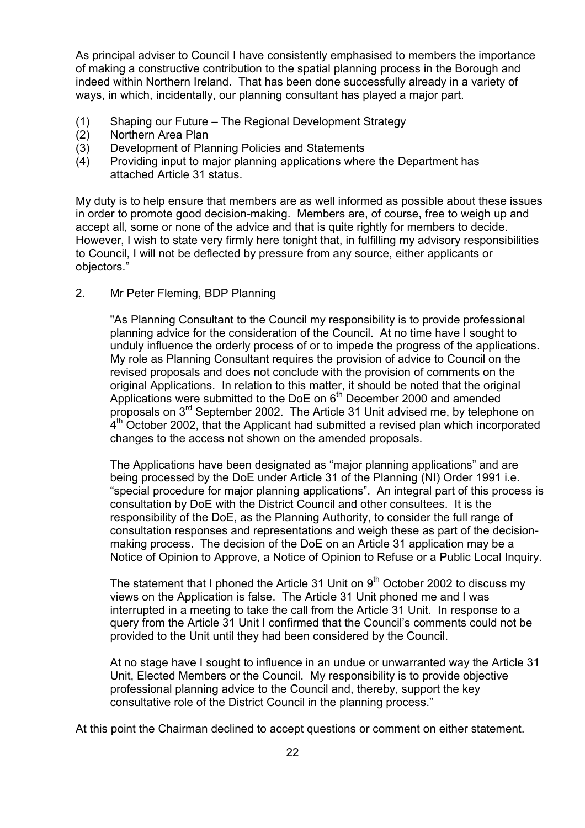As principal adviser to Council I have consistently emphasised to members the importance of making a constructive contribution to the spatial planning process in the Borough and indeed within Northern Ireland. That has been done successfully already in a variety of ways, in which, incidentally, our planning consultant has played a major part.

- (1) Shaping our Future The Regional Development Strategy
- (2) Northern Area Plan
- (3) Development of Planning Policies and Statements
- (4) Providing input to major planning applications where the Department has attached Article 31 status.

My duty is to help ensure that members are as well informed as possible about these issues in order to promote good decision-making. Members are, of course, free to weigh up and accept all, some or none of the advice and that is quite rightly for members to decide. However, I wish to state very firmly here tonight that, in fulfilling my advisory responsibilities to Council, I will not be deflected by pressure from any source, either applicants or objectors."

#### 2. Mr Peter Fleming, BDP Planning

"As Planning Consultant to the Council my responsibility is to provide professional planning advice for the consideration of the Council. At no time have I sought to unduly influence the orderly process of or to impede the progress of the applications. My role as Planning Consultant requires the provision of advice to Council on the revised proposals and does not conclude with the provision of comments on the original Applications. In relation to this matter, it should be noted that the original Applications were submitted to the DoE on  $6<sup>th</sup>$  December 2000 and amended proposals on 3rd September 2002. The Article 31 Unit advised me, by telephone on  $4<sup>th</sup>$  October 2002, that the Applicant had submitted a revised plan which incorporated changes to the access not shown on the amended proposals.

 The Applications have been designated as "major planning applications" and are being processed by the DoE under Article 31 of the Planning (NI) Order 1991 i.e. "special procedure for major planning applications". An integral part of this process is consultation by DoE with the District Council and other consultees. It is the responsibility of the DoE, as the Planning Authority, to consider the full range of consultation responses and representations and weigh these as part of the decisionmaking process. The decision of the DoE on an Article 31 application may be a Notice of Opinion to Approve, a Notice of Opinion to Refuse or a Public Local Inquiry.

The statement that I phoned the Article 31 Unit on  $9<sup>th</sup>$  October 2002 to discuss my views on the Application is false. The Article 31 Unit phoned me and I was interrupted in a meeting to take the call from the Article 31 Unit. In response to a query from the Article 31 Unit I confirmed that the Council's comments could not be provided to the Unit until they had been considered by the Council.

 At no stage have I sought to influence in an undue or unwarranted way the Article 31 Unit, Elected Members or the Council. My responsibility is to provide objective professional planning advice to the Council and, thereby, support the key consultative role of the District Council in the planning process."

At this point the Chairman declined to accept questions or comment on either statement.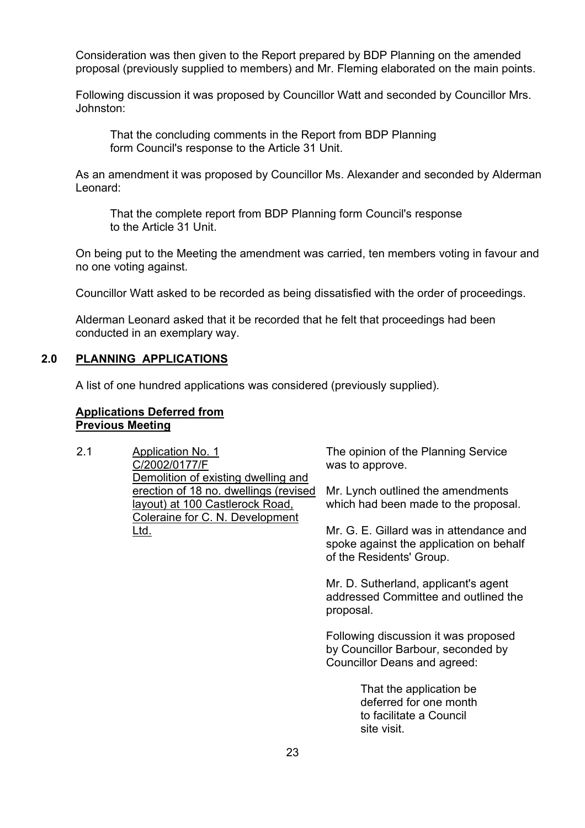Consideration was then given to the Report prepared by BDP Planning on the amended proposal (previously supplied to members) and Mr. Fleming elaborated on the main points.

Following discussion it was proposed by Councillor Watt and seconded by Councillor Mrs. Johnston:

 That the concluding comments in the Report from BDP Planning form Council's response to the Article 31 Unit.

As an amendment it was proposed by Councillor Ms. Alexander and seconded by Alderman Leonard:

 That the complete report from BDP Planning form Council's response to the Article 31 Unit.

On being put to the Meeting the amendment was carried, ten members voting in favour and no one voting against.

Councillor Watt asked to be recorded as being dissatisfied with the order of proceedings.

Alderman Leonard asked that it be recorded that he felt that proceedings had been conducted in an exemplary way.

#### **2.0 PLANNING APPLICATIONS**

A list of one hundred applications was considered (previously supplied).

#### **Applications Deferred from Previous Meeting**

2.1 Application No. 1 C/2002/0177/F Demolition of existing dwelling and erection of 18 no. dwellings (revised layout) at 100 Castlerock Road, Coleraine for C. N. Development Ltd.

The opinion of the Planning Service was to approve.

Mr. Lynch outlined the amendments which had been made to the proposal.

Mr. G. E. Gillard was in attendance and spoke against the application on behalf of the Residents' Group.

Mr. D. Sutherland, applicant's agent addressed Committee and outlined the proposal.

Following discussion it was proposed by Councillor Barbour, seconded by Councillor Deans and agreed:

> That the application be deferred for one month to facilitate a Council site visit.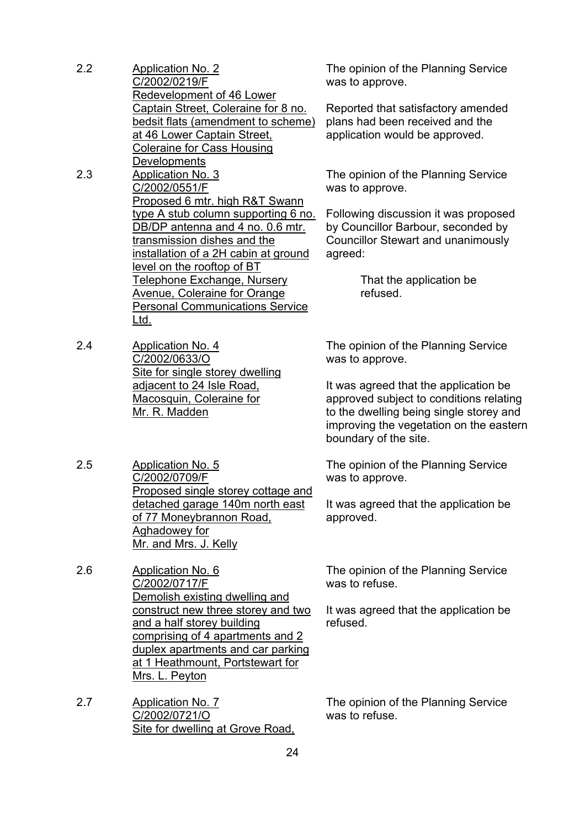| 2.2 | <b>Application No. 2</b><br>C/2002/0219/F<br>Redevelopment of 46 Lower<br>Captain Street, Coleraine for 8 no.<br>bedsit flats (amendment to scheme)<br>at 46 Lower Captain Street,<br><b>Coleraine for Cass Housing</b> |
|-----|-------------------------------------------------------------------------------------------------------------------------------------------------------------------------------------------------------------------------|
|     |                                                                                                                                                                                                                         |
|     | Developments                                                                                                                                                                                                            |
| 2.3 | Application No. 3                                                                                                                                                                                                       |
|     | C/2002/0551/F                                                                                                                                                                                                           |
|     | Proposed 6 mtr. high R&T Swann                                                                                                                                                                                          |
|     | type A stub column supporting 6 no.                                                                                                                                                                                     |
|     | DB/DP antenna and 4 no. 0.6 mtr.                                                                                                                                                                                        |
|     | transmission dishes and the                                                                                                                                                                                             |
|     | installation of a 2H cabin at ground                                                                                                                                                                                    |
|     | <u>level on the rooftop of BT</u>                                                                                                                                                                                       |
|     | Telephone Exchange, Nursery                                                                                                                                                                                             |
|     | <b>Avenue, Coleraine for Orange</b>                                                                                                                                                                                     |
|     | <b>Personal Communications Service</b>                                                                                                                                                                                  |
|     | Ltd.                                                                                                                                                                                                                    |
| 2.4 | Application No. 4                                                                                                                                                                                                       |
|     | C/2002/0633/O                                                                                                                                                                                                           |

C/2002/0633/O Site for single storey dwelling adjacent to 24 Isle Road, Macosquin, Coleraine for Mr. R. Madden

2.5 Application No. 5 C/2002/0709/F Proposed single storey cottage and detached garage 140m north east of 77 Moneybrannon Road, Aghadowey for Mr. and Mrs. J. Kelly

2.6 Application No. 6 C/2002/0717/F Demolish existing dwelling and construct new three storey and two and a half storey building comprising of 4 apartments and 2 duplex apartments and car parking at 1 Heathmount, Portstewart for Mrs. L. Peyton

2.7 Application No. 7 C/2002/0721/O Site for dwelling at Grove Road, The opinion of the Planning Service was to approve.

Reported that satisfactory amended plans had been received and the application would be approved.

The opinion of the Planning Service was to approve.

Following discussion it was proposed by Councillor Barbour, seconded by Councillor Stewart and unanimously agreed:

> That the application be refused.

The opinion of the Planning Service was to approve.

It was agreed that the application be approved subject to conditions relating to the dwelling being single storey and improving the vegetation on the eastern boundary of the site.

The opinion of the Planning Service was to approve.

It was agreed that the application be approved.

The opinion of the Planning Service was to refuse.

It was agreed that the application be refused.

The opinion of the Planning Service was to refuse.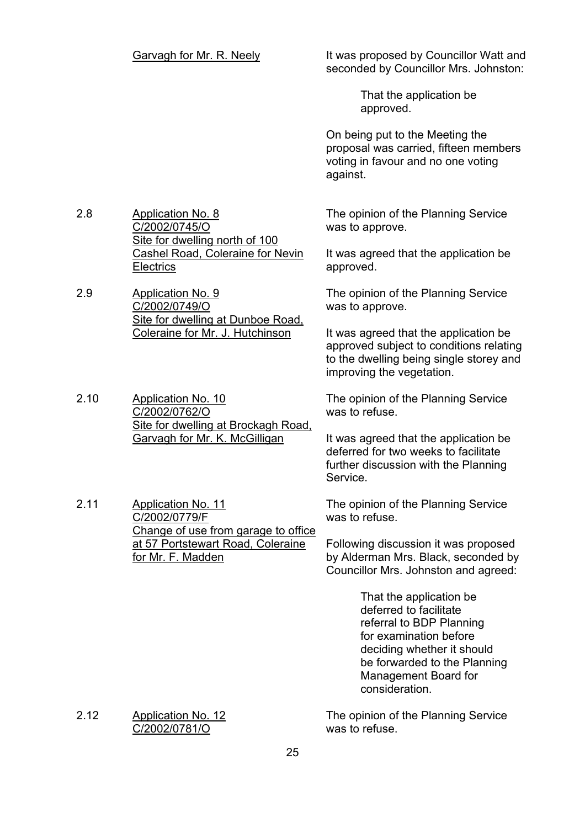Garvagh for Mr. R. Neely It was proposed by Councillor Watt and seconded by Councillor Mrs. Johnston:

> That the application be approved.

On being put to the Meeting the proposal was carried, fifteen members voting in favour and no one voting against.

2.8 Application No. 8 C/2002/0745/O Site for dwelling north of 100 Cashel Road, Coleraine for Nevin **Electrics** 

2.9 Application No. 9 C/2002/0749/O Site for dwelling at Dunboe Road, Coleraine for Mr. J. Hutchinson

2.10 Application No. 10 C/2002/0762/O Site for dwelling at Brockagh Road, Garvagh for Mr. K. McGilligan

2.11 Application No. 11 C/2002/0779/F Change of use from garage to office at 57 Portstewart Road, Coleraine for Mr. F. Madden

The opinion of the Planning Service was to approve.

It was agreed that the application be approved.

The opinion of the Planning Service was to approve.

It was agreed that the application be approved subject to conditions relating to the dwelling being single storey and improving the vegetation.

The opinion of the Planning Service was to refuse.

It was agreed that the application be deferred for two weeks to facilitate further discussion with the Planning Service.

The opinion of the Planning Service was to refuse.

Following discussion it was proposed by Alderman Mrs. Black, seconded by Councillor Mrs. Johnston and agreed:

> That the application be deferred to facilitate referral to BDP Planning for examination before deciding whether it should be forwarded to the Planning Management Board for consideration.

The opinion of the Planning Service was to refuse.

2.12 Application No. 12 C/2002/0781/O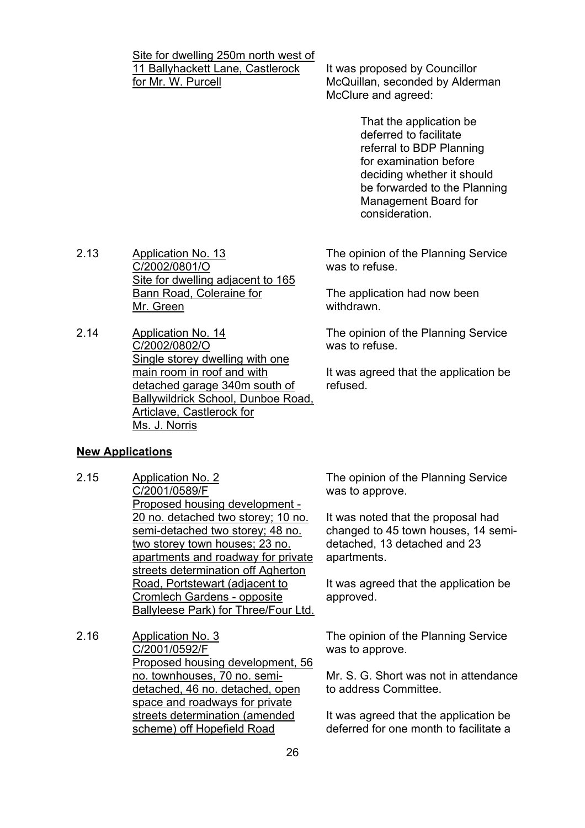Site for dwelling 250m north west of 11 Ballyhackett Lane, Castlerock for Mr. W. Purcell

It was proposed by Councillor McQuillan, seconded by Alderman McClure and agreed:

> That the application be deferred to facilitate referral to BDP Planning for examination before deciding whether it should be forwarded to the Planning Management Board for consideration.

2.13 Application No. 13 C/2002/0801/O Site for dwelling adjacent to 165 Bann Road, Coleraine for Mr. Green

2.14 Application No. 14 C/2002/0802/O Single storey dwelling with one main room in roof and with detached garage 340m south of Ballywildrick School, Dunboe Road, Articlave, Castlerock for Ms. J. Norris

#### **New Applications**

- 2.15 Application No. 2 C/2001/0589/F Proposed housing development - 20 no. detached two storey; 10 no. semi-detached two storey; 48 no. two storey town houses; 23 no. apartments and roadway for private streets determination off Agherton Road, Portstewart (adjacent to Cromlech Gardens - opposite Ballyleese Park) for Three/Four Ltd.
- 2.16 Application No. 3 C/2001/0592/F Proposed housing development, 56 no. townhouses, 70 no. semidetached, 46 no. detached, open space and roadways for private streets determination (amended scheme) off Hopefield Road

The opinion of the Planning Service was to refuse.

The application had now been withdrawn.

The opinion of the Planning Service was to refuse.

It was agreed that the application be refused.

The opinion of the Planning Service was to approve.

It was noted that the proposal had changed to 45 town houses, 14 semidetached, 13 detached and 23 apartments.

It was agreed that the application be approved.

The opinion of the Planning Service was to approve.

Mr. S. G. Short was not in attendance to address Committee.

It was agreed that the application be deferred for one month to facilitate a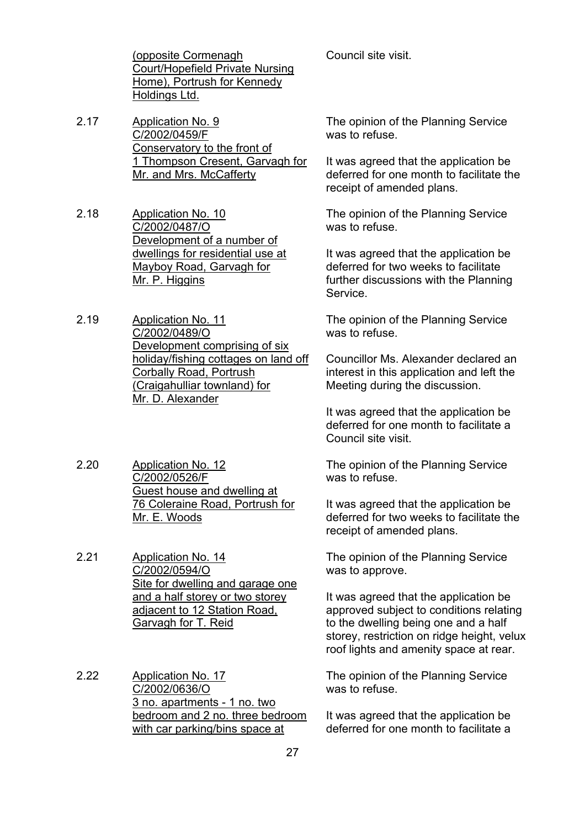(opposite Cormenagh Court/Hopefield Private Nursing Home), Portrush for Kennedy Holdings Ltd.

2.17 Application No. 9 C/2002/0459/F Conservatory to the front of 1 Thompson Cresent, Garvagh for Mr. and Mrs. McCafferty

2.18 Application No. 10 C/2002/0487/O Development of a number of dwellings for residential use at Mayboy Road, Garvagh for Mr. P. Higgins

- 2.19 Application No. 11 C/2002/0489/O Development comprising of six holiday/fishing cottages on land off Corbally Road, Portrush (Craigahulliar townland) for Mr. D. Alexander
- 2.20 Application No. 12 C/2002/0526/F Guest house and dwelling at 76 Coleraine Road, Portrush for Mr. E. Woods

2.21 Application No. 14 C/2002/0594/O Site for dwelling and garage one and a half storey or two storey adjacent to 12 Station Road, Garvagh for T. Reid

2.22 Application No. 17 C/2002/0636/O 3 no. apartments - 1 no. two bedroom and 2 no. three bedroom with car parking/bins space at

Council site visit.

The opinion of the Planning Service was to refuse.

It was agreed that the application be deferred for one month to facilitate the receipt of amended plans.

The opinion of the Planning Service was to refuse.

It was agreed that the application be deferred for two weeks to facilitate further discussions with the Planning Service.

The opinion of the Planning Service was to refuse.

Councillor Ms. Alexander declared an interest in this application and left the Meeting during the discussion.

It was agreed that the application be deferred for one month to facilitate a Council site visit.

The opinion of the Planning Service was to refuse.

It was agreed that the application be deferred for two weeks to facilitate the receipt of amended plans.

The opinion of the Planning Service was to approve.

It was agreed that the application be approved subject to conditions relating to the dwelling being one and a half storey, restriction on ridge height, yelux roof lights and amenity space at rear.

The opinion of the Planning Service was to refuse.

It was agreed that the application be deferred for one month to facilitate a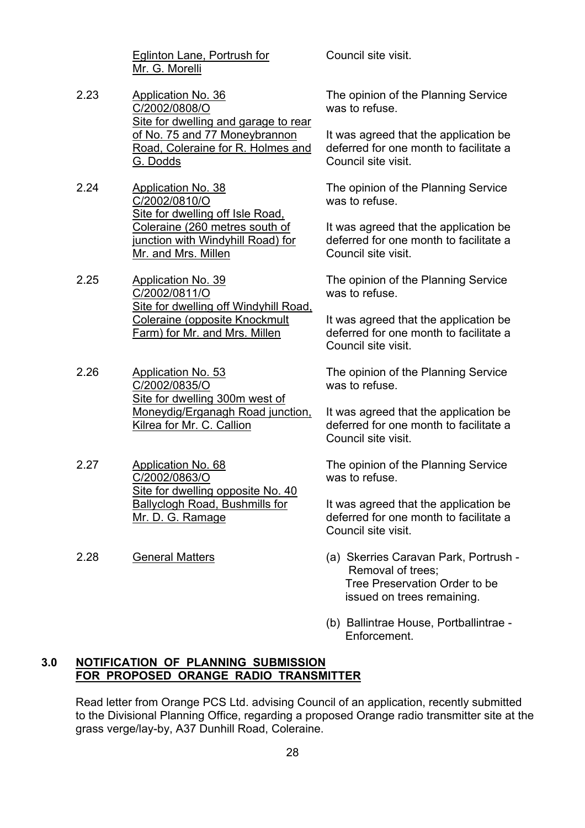Eglinton Lane, Portrush for Mr. G. Morelli

- 2.23 Application No. 36 C/2002/0808/O Site for dwelling and garage to rear of No. 75 and 77 Moneybrannon Road, Coleraine for R. Holmes and G. Dodds
- 2.24 Application No. 38 C/2002/0810/O Site for dwelling off Isle Road, Coleraine (260 metres south of junction with Windyhill Road) for Mr. and Mrs. Millen

2.25 Application No. 39 C/2002/0811/O Site for dwelling off Windyhill Road, Coleraine (opposite Knockmult Farm) for Mr. and Mrs. Millen

- 2.26 Application No. 53 C/2002/0835/O Site for dwelling 300m west of Moneydig/Erganagh Road junction, Kilrea for Mr. C. Callion
- 2.27 Application No. 68 C/2002/0863/O Site for dwelling opposite No. 40 Ballyclogh Road, Bushmills for Mr. D. G. Ramage
- 

Council site visit.

The opinion of the Planning Service was to refuse.

It was agreed that the application be deferred for one month to facilitate a Council site visit.

The opinion of the Planning Service was to refuse.

It was agreed that the application be deferred for one month to facilitate a Council site visit.

The opinion of the Planning Service was to refuse.

It was agreed that the application be deferred for one month to facilitate a Council site visit.

The opinion of the Planning Service was to refuse.

It was agreed that the application be deferred for one month to facilitate a Council site visit.

The opinion of the Planning Service was to refuse.

It was agreed that the application be deferred for one month to facilitate a Council site visit.

- 2.28 General Matters (a) Skerries Caravan Park, Portrush Removal of trees; Tree Preservation Order to be issued on trees remaining.
	- (b) Ballintrae House, Portballintrae Enforcement.

#### **3.0 NOTIFICATION OF PLANNING SUBMISSION FOR PROPOSED ORANGE RADIO TRANSMITTER**

 Read letter from Orange PCS Ltd. advising Council of an application, recently submitted to the Divisional Planning Office, regarding a proposed Orange radio transmitter site at the grass verge/lay-by, A37 Dunhill Road, Coleraine.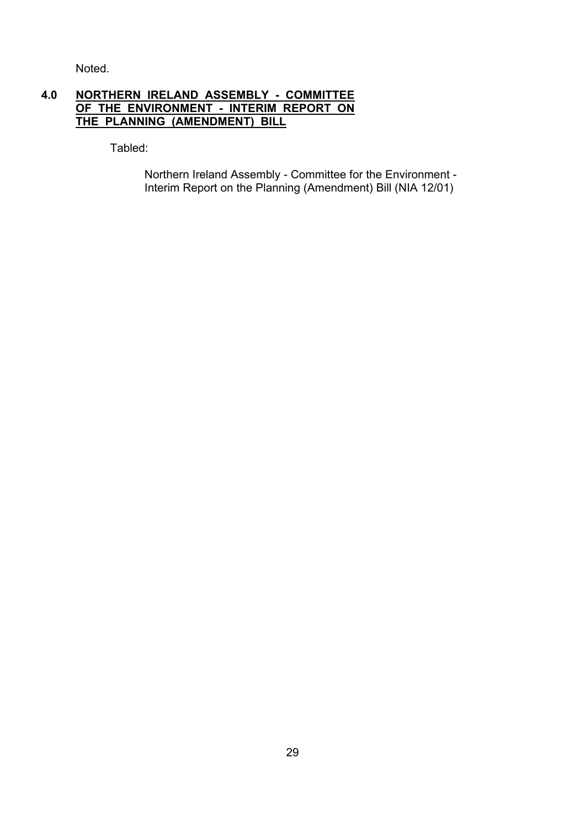Noted.

#### **4.0 NORTHERN IRELAND ASSEMBLY - COMMITTEE OF THE ENVIRONMENT - INTERIM REPORT ON THE PLANNING (AMENDMENT) BILL**

Tabled:

 Northern Ireland Assembly - Committee for the Environment - Interim Report on the Planning (Amendment) Bill (NIA 12/01)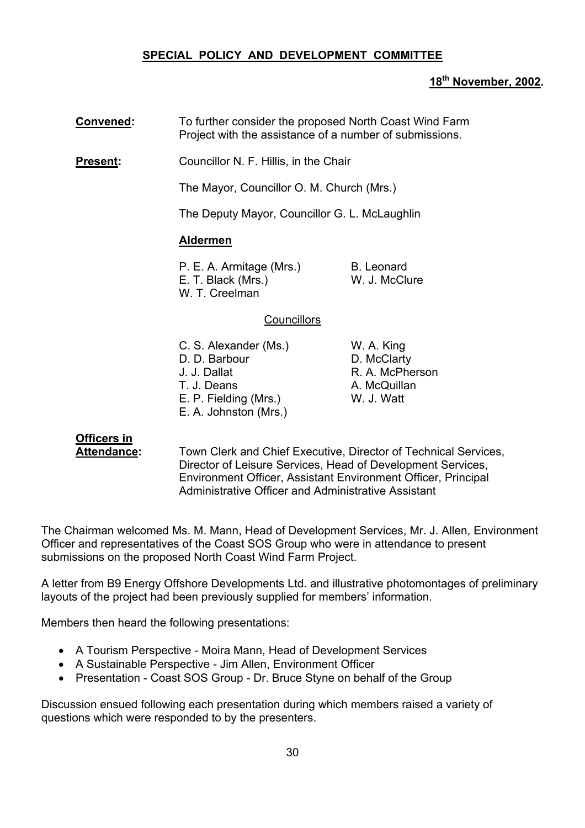#### **SPECIAL POLICY AND DEVELOPMENT COMMITTEE**

#### **18th November, 2002.**

 **Convened:** To further consider the proposed North Coast Wind Farm Project with the assistance of a number of submissions.

**Present:** Councillor N. F. Hillis, in the Chair

The Mayor, Councillor O. M. Church (Mrs.)

The Deputy Mayor, Councillor G. L. McLaughlin

#### **Aldermen**

| P. E. A. Armitage (Mrs.) | B. Leonard    |
|--------------------------|---------------|
| E. T. Black (Mrs.)       | W. J. McClure |
| W. T. Creelman           |               |

#### **Councillors**

| C. S. Alexander (Ms.) | W. A. King      |
|-----------------------|-----------------|
| D. D. Barbour         | D. McClarty     |
| J. J. Dallat          | R. A. McPherson |
| T. J. Deans           | A. McQuillan    |
| E. P. Fielding (Mrs.) | W. J. Watt      |
| E. A. Johnston (Mrs.) |                 |

# **Officers in**

 **Attendance:** Town Clerk and Chief Executive, Director of Technical Services, Director of Leisure Services, Head of Development Services, Environment Officer, Assistant Environment Officer, Principal Administrative Officer and Administrative Assistant

The Chairman welcomed Ms. M. Mann, Head of Development Services, Mr. J. Allen, Environment Officer and representatives of the Coast SOS Group who were in attendance to present submissions on the proposed North Coast Wind Farm Project.

A letter from B9 Energy Offshore Developments Ltd. and illustrative photomontages of preliminary layouts of the project had been previously supplied for members' information.

Members then heard the following presentations:

- A Tourism Perspective Moira Mann, Head of Development Services
- A Sustainable Perspective Jim Allen, Environment Officer
- Presentation Coast SOS Group Dr. Bruce Styne on behalf of the Group

Discussion ensued following each presentation during which members raised a variety of questions which were responded to by the presenters.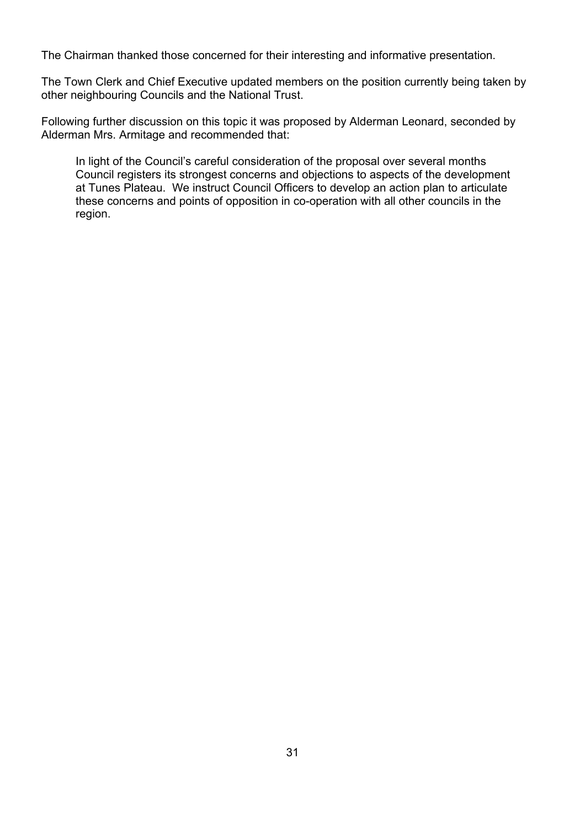The Chairman thanked those concerned for their interesting and informative presentation.

The Town Clerk and Chief Executive updated members on the position currently being taken by other neighbouring Councils and the National Trust.

Following further discussion on this topic it was proposed by Alderman Leonard, seconded by Alderman Mrs. Armitage and recommended that:

 In light of the Council's careful consideration of the proposal over several months Council registers its strongest concerns and objections to aspects of the development at Tunes Plateau. We instruct Council Officers to develop an action plan to articulate these concerns and points of opposition in co-operation with all other councils in the region.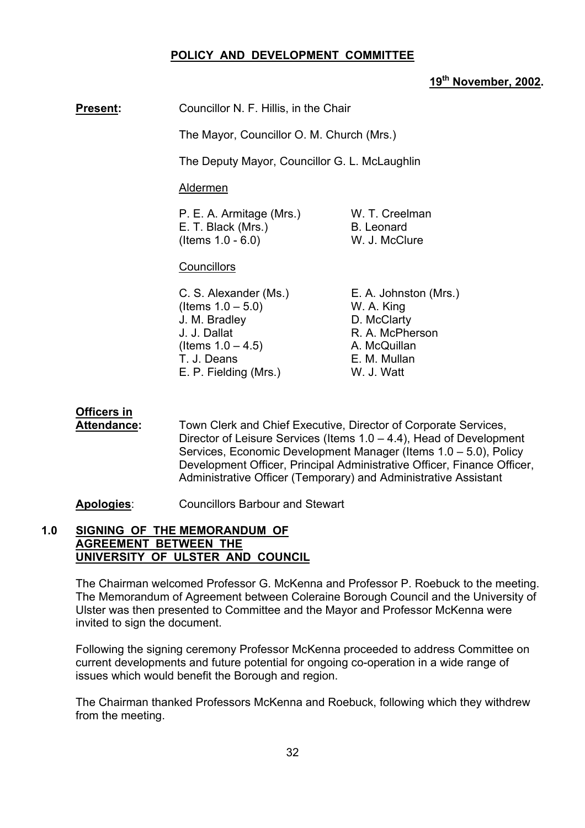#### **POLICY AND DEVELOPMENT COMMITTEE**

#### **19th November, 2002.**

**Present:** Councillor N. F. Hillis, in the Chair

The Mayor, Councillor O. M. Church (Mrs.)

The Deputy Mayor, Councillor G. L. McLaughlin

Aldermen

P. E. A. Armitage (Mrs.) W. T. Creelman E. T. Black (Mrs.) B. Leonard (Items 1.0 - 6.0) W. J. McClure

**Councillors** 

| C. S. Alexander (Ms.) | E. A. Johnston (Mrs.) |
|-----------------------|-----------------------|
| (Items $1.0 - 5.0$ )  | W. A. King            |
| J. M. Bradley         | D. McClarty           |
| J. J. Dallat          | R. A. McPherson       |
| (Items $1.0 - 4.5$ )  | A. McQuillan          |
| T. J. Deans           | E. M. Mullan          |
| E. P. Fielding (Mrs.) | W. J. Watt            |
|                       |                       |

# **Officers in**

 **Attendance:** Town Clerk and Chief Executive, Director of Corporate Services, Director of Leisure Services (Items 1.0 – 4.4), Head of Development Services, Economic Development Manager (Items 1.0 – 5.0), Policy Development Officer, Principal Administrative Officer, Finance Officer, Administrative Officer (Temporary) and Administrative Assistant

**Apologies**: Councillors Barbour and Stewart

#### **1.0 SIGNING OF THE MEMORANDUM OF AGREEMENT BETWEEN THE UNIVERSITY OF ULSTER AND COUNCIL**

The Chairman welcomed Professor G. McKenna and Professor P. Roebuck to the meeting. The Memorandum of Agreement between Coleraine Borough Council and the University of Ulster was then presented to Committee and the Mayor and Professor McKenna were invited to sign the document.

Following the signing ceremony Professor McKenna proceeded to address Committee on current developments and future potential for ongoing co-operation in a wide range of issues which would benefit the Borough and region.

The Chairman thanked Professors McKenna and Roebuck, following which they withdrew from the meeting.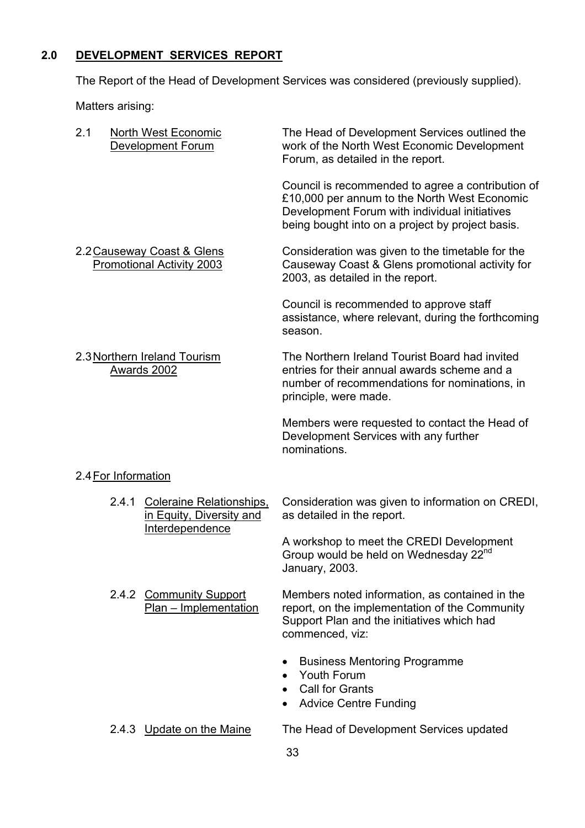# **2.0 DEVELOPMENT SERVICES REPORT**

The Report of the Head of Development Services was considered (previously supplied).

Matters arising:

| 2.1                 | North West Economic<br><b>Development Forum</b>                                | The Head of Development Services outlined the<br>work of the North West Economic Development<br>Forum, as detailed in the report.                                                                      |
|---------------------|--------------------------------------------------------------------------------|--------------------------------------------------------------------------------------------------------------------------------------------------------------------------------------------------------|
|                     |                                                                                | Council is recommended to agree a contribution of<br>£10,000 per annum to the North West Economic<br>Development Forum with individual initiatives<br>being bought into on a project by project basis. |
|                     | 2.2 Causeway Coast & Glens<br><b>Promotional Activity 2003</b>                 | Consideration was given to the timetable for the<br>Causeway Coast & Glens promotional activity for<br>2003, as detailed in the report.                                                                |
|                     |                                                                                | Council is recommended to approve staff<br>assistance, where relevant, during the forthcoming<br>season.                                                                                               |
|                     | 2.3 Northern Ireland Tourism<br>Awards 2002                                    | The Northern Ireland Tourist Board had invited<br>entries for their annual awards scheme and a<br>number of recommendations for nominations, in<br>principle, were made.                               |
|                     |                                                                                | Members were requested to contact the Head of<br>Development Services with any further<br>nominations.                                                                                                 |
| 2.4 For Information |                                                                                |                                                                                                                                                                                                        |
| 2.4.1               | <b>Coleraine Relationships,</b><br>in Equity, Diversity and<br>Interdependence | Consideration was given to information on CREDI,<br>as detailed in the report.                                                                                                                         |
|                     |                                                                                | A workshop to meet the CREDI Development<br>Group would be held on Wednesday 22 <sup>nd</sup><br>January, 2003.                                                                                        |
|                     | 2.4.2 Community Support<br>Plan - Implementation                               | Members noted information, as contained in the<br>report, on the implementation of the Community<br>Support Plan and the initiatives which had<br>commenced, viz:                                      |
|                     |                                                                                | <b>Business Mentoring Programme</b><br>Youth Forum<br><b>Call for Grants</b><br><b>Advice Centre Funding</b>                                                                                           |
|                     | 2.4.3 Update on the Maine                                                      | The Head of Development Services updated<br>33                                                                                                                                                         |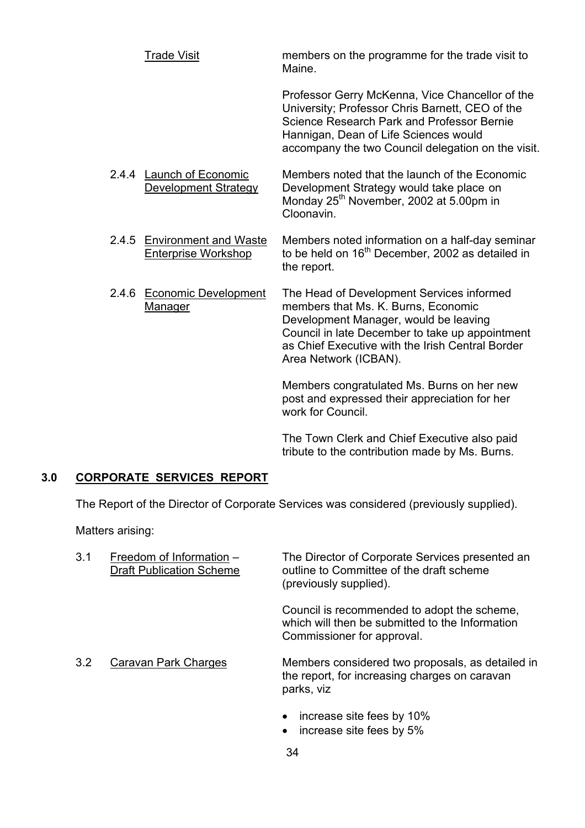Trade Visit members on the programme for the trade visit to Maine. Professor Gerry McKenna, Vice Chancellor of the University; Professor Chris Barnett, CEO of the Science Research Park and Professor Bernie Hannigan, Dean of Life Sciences would accompany the two Council delegation on the visit. 2.4.4 **Launch of Economic** Members noted that the launch of the Economic Development Strategy Development Strategy would take place on Monday 25<sup>th</sup> November, 2002 at 5.00pm in Cloonavin. 2.4.5 Environment and Waste Members noted information on a half-day seminar<br>Enterprise Workshop to be held on 16<sup>th</sup> December. 2002 as detailed in to be held on  $16<sup>th</sup>$  December, 2002 as detailed in

 the report. 2.4.6 Economic Development The Head of Development Services informed Manager members that Ms. K. Burns, Economic

Development Manager, would be leaving Council in late December to take up appointment as Chief Executive with the Irish Central Border Area Network (ICBAN).

Members congratulated Ms. Burns on her new post and expressed their appreciation for her work for Council.

The Town Clerk and Chief Executive also paid tribute to the contribution made by Ms. Burns.

#### **3.0 CORPORATE SERVICES REPORT**

The Report of the Director of Corporate Services was considered (previously supplied).

Matters arising:

| 3.1 | Freedom of Information -<br><b>Draft Publication Scheme</b> | The Director of Corporate Services presented an<br>outline to Committee of the draft scheme<br>(previously supplied).        |
|-----|-------------------------------------------------------------|------------------------------------------------------------------------------------------------------------------------------|
|     |                                                             | Council is recommended to adopt the scheme,<br>which will then be submitted to the Information<br>Commissioner for approval. |
| 3.2 | Caravan Park Charges                                        | Members considered two proposals, as detailed in<br>the report, for increasing charges on caravan<br>parks, viz              |
|     |                                                             | increase site fees by 10%<br>increase site fees by 5%                                                                        |

34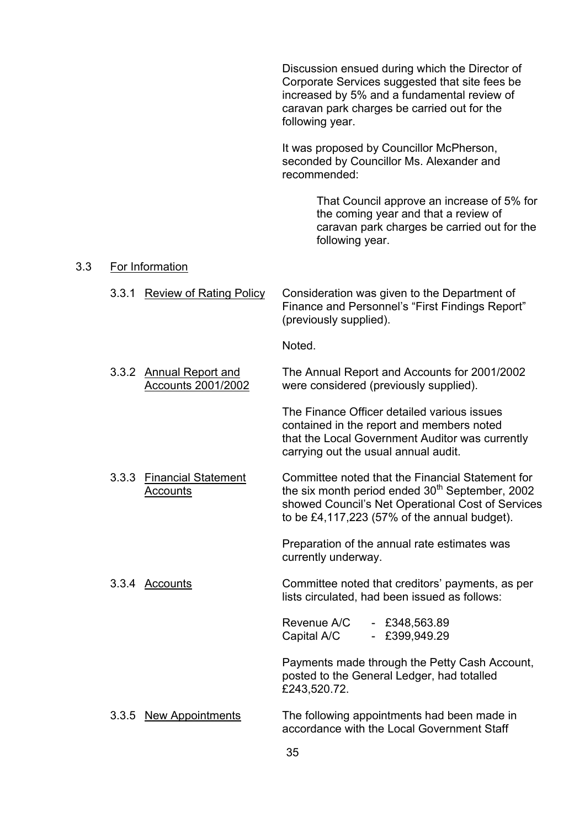Discussion ensued during which the Director of Corporate Services suggested that site fees be increased by 5% and a fundamental review of caravan park charges be carried out for the following year.

 It was proposed by Councillor McPherson, seconded by Councillor Ms. Alexander and recommended:

> That Council approve an increase of 5% for the coming year and that a review of caravan park charges be carried out for the following year.

#### 3.3 For Information

3.3.1 Review of Rating Policy Consideration was given to the Department of Finance and Personnel's "First Findings Report" (previously supplied).

Noted.

 3.3.2 Annual Report and The Annual Report and Accounts for 2001/2002 Accounts 2001/2002 were considered (previously supplied).

> The Finance Officer detailed various issues contained in the report and members noted that the Local Government Auditor was currently carrying out the usual annual audit.

3.3.3 Financial Statement Committee noted that the Financial Statement for  $\overline{\mathsf{Accounts}}$  the six month period ended  $30^{\text{th}}$  September, 2002 showed Council's Net Operational Cost of Services to be £4,117,223 (57% of the annual budget).

> Preparation of the annual rate estimates was currently underway.

3.3.4 Accounts Committee noted that creditors' payments, as per lists circulated, had been issued as follows:

> Revenue A/C - £348,563.89 Capital A/C - £399,949.29

Payments made through the Petty Cash Account, posted to the General Ledger, had totalled £243,520.72.

3.3.5 New Appointments The following appointments had been made in accordance with the Local Government Staff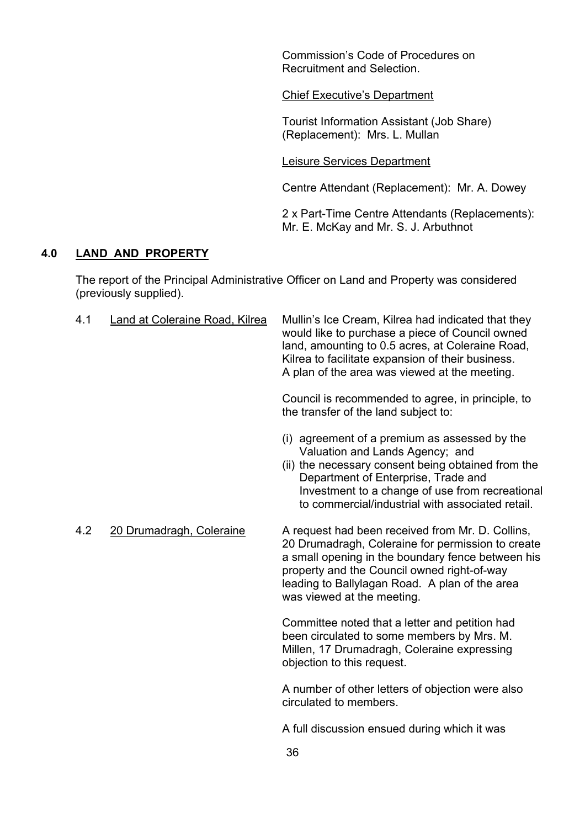Commission's Code of Procedures on Recruitment and Selection.

Chief Executive's Department

Tourist Information Assistant (Job Share) (Replacement): Mrs. L. Mullan

Leisure Services Department

Centre Attendant (Replacement): Mr. A. Dowey

2 x Part-Time Centre Attendants (Replacements): Mr. E. McKay and Mr. S. J. Arbuthnot

#### **4.0 LAND AND PROPERTY**

 The report of the Principal Administrative Officer on Land and Property was considered (previously supplied).

| 4.1 | Land at Coleraine Road, Kilrea | Mullin's Ice Cream, Kilrea had indicated that they<br>would like to purchase a piece of Council owned<br>land, amounting to 0.5 acres, at Coleraine Road,<br>Kilrea to facilitate expansion of their business.<br>A plan of the area was viewed at the meeting.                           |
|-----|--------------------------------|-------------------------------------------------------------------------------------------------------------------------------------------------------------------------------------------------------------------------------------------------------------------------------------------|
|     |                                | Council is recommended to agree, in principle, to<br>the transfer of the land subject to:                                                                                                                                                                                                 |
|     |                                | (i) agreement of a premium as assessed by the<br>Valuation and Lands Agency; and<br>(ii) the necessary consent being obtained from the<br>Department of Enterprise, Trade and<br>Investment to a change of use from recreational<br>to commercial/industrial with associated retail.      |
| 4.2 | 20 Drumadragh, Coleraine       | A request had been received from Mr. D. Collins,<br>20 Drumadragh, Coleraine for permission to create<br>a small opening in the boundary fence between his<br>property and the Council owned right-of-way<br>leading to Ballylagan Road. A plan of the area<br>was viewed at the meeting. |
|     |                                | Committee noted that a letter and petition had<br>been circulated to some members by Mrs. M.<br>Millen, 17 Drumadragh, Coleraine expressing<br>objection to this request.                                                                                                                 |
|     |                                | A number of other letters of objection were also<br>circulated to members.                                                                                                                                                                                                                |
|     |                                | A full discussion ensued during which it was                                                                                                                                                                                                                                              |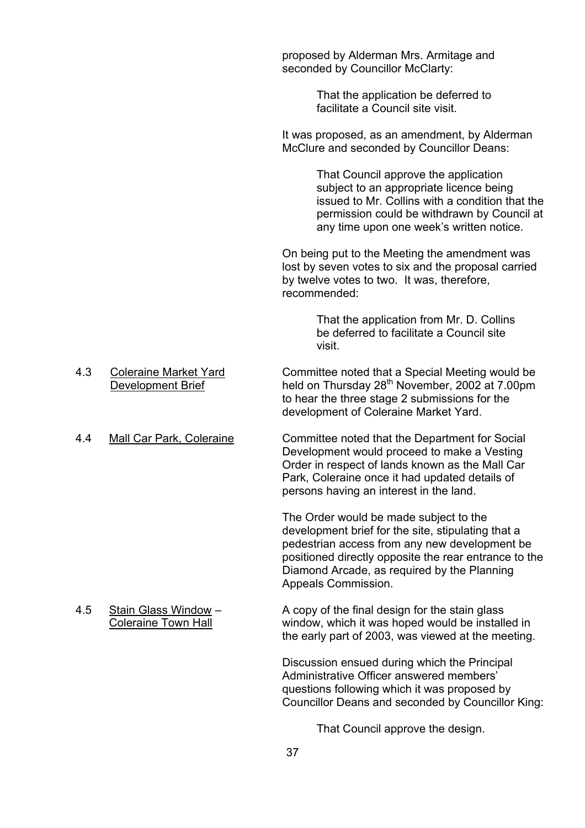proposed by Alderman Mrs. Armitage and seconded by Councillor McClarty:

> That the application be deferred to facilitate a Council site visit.

 It was proposed, as an amendment, by Alderman McClure and seconded by Councillor Deans:

> That Council approve the application subject to an appropriate licence being issued to Mr. Collins with a condition that the permission could be withdrawn by Council at any time upon one week's written notice.

 On being put to the Meeting the amendment was lost by seven votes to six and the proposal carried by twelve votes to two. It was, therefore, recommended:

 That the application from Mr. D. Collins be deferred to facilitate a Council site visit.

- 4.3 Coleraine Market Yard Committee noted that a Special Meeting would be Development Brief held on Thursday 28<sup>th</sup> November, 2002 at 7.00pm to hear the three stage 2 submissions for the development of Coleraine Market Yard.
- 4.4 Mall Car Park, Coleraine Committee noted that the Department for Social Development would proceed to make a Vesting Order in respect of lands known as the Mall Car Park, Coleraine once it had updated details of persons having an interest in the land.

 The Order would be made subject to the development brief for the site, stipulating that a pedestrian access from any new development be positioned directly opposite the rear entrance to the Diamond Arcade, as required by the Planning Appeals Commission.

4.5 Stain Glass Window – A copy of the final design for the stain glass Coleraine Town Hall window, which it was hoped would be installed in the early part of 2003, was viewed at the meeting.

> Discussion ensued during which the Principal Administrative Officer answered members' questions following which it was proposed by Councillor Deans and seconded by Councillor King:

> > That Council approve the design.

- 
-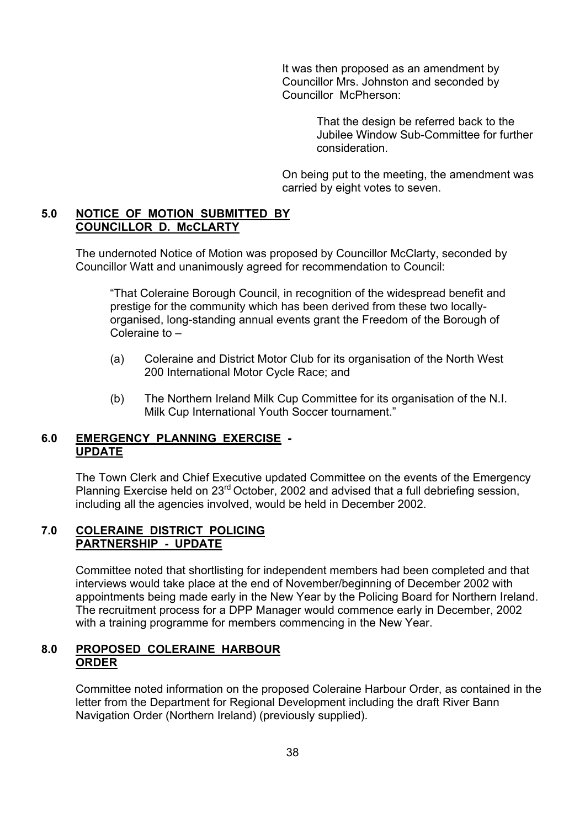It was then proposed as an amendment by Councillor Mrs. Johnston and seconded by Councillor McPherson:

> That the design be referred back to the Jubilee Window Sub-Committee for further consideration.

 On being put to the meeting, the amendment was carried by eight votes to seven.

#### **5.0 NOTICE OF MOTION SUBMITTED BY COUNCILLOR D. McCLARTY**

 The undernoted Notice of Motion was proposed by Councillor McClarty, seconded by Councillor Watt and unanimously agreed for recommendation to Council:

"That Coleraine Borough Council, in recognition of the widespread benefit and prestige for the community which has been derived from these two locallyorganised, long-standing annual events grant the Freedom of the Borough of Coleraine to –

- (a) Coleraine and District Motor Club for its organisation of the North West 200 International Motor Cycle Race; and
- (b) The Northern Ireland Milk Cup Committee for its organisation of the N.I. Milk Cup International Youth Soccer tournament."

#### **6.0 EMERGENCY PLANNING EXERCISE - UPDATE**

The Town Clerk and Chief Executive updated Committee on the events of the Emergency Planning Exercise held on 23<sup>rd</sup> October, 2002 and advised that a full debriefing session, including all the agencies involved, would be held in December 2002.

#### **7.0 COLERAINE DISTRICT POLICING PARTNERSHIP - UPDATE**

Committee noted that shortlisting for independent members had been completed and that interviews would take place at the end of November/beginning of December 2002 with appointments being made early in the New Year by the Policing Board for Northern Ireland. The recruitment process for a DPP Manager would commence early in December, 2002 with a training programme for members commencing in the New Year.

#### **8.0 PROPOSED COLERAINE HARBOUR ORDER**

Committee noted information on the proposed Coleraine Harbour Order, as contained in the letter from the Department for Regional Development including the draft River Bann Navigation Order (Northern Ireland) (previously supplied).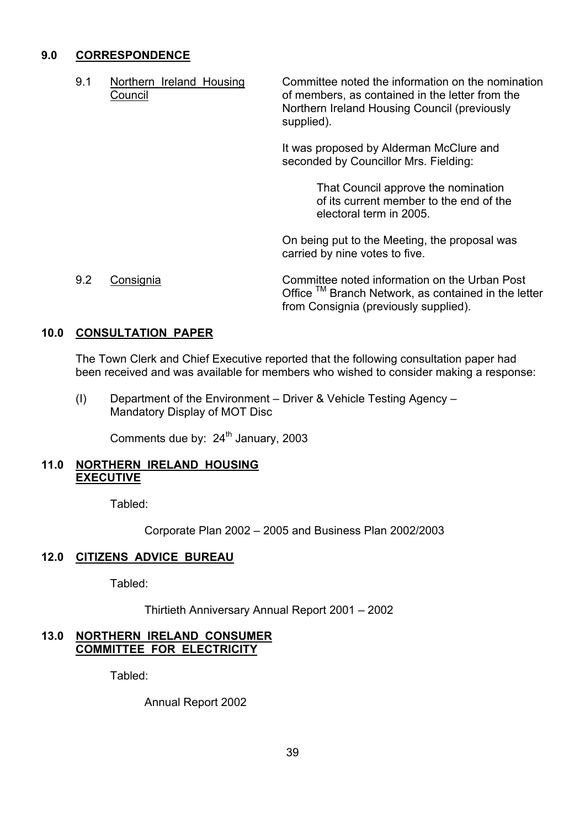#### **9.0 CORRESPONDENCE**

9.1 Northern Ireland Housing Committee noted the information on the nomination Council of members, as contained in the letter from the Northern Ireland Housing Council (previously supplied).

> It was proposed by Alderman McClure and seconded by Councillor Mrs. Fielding:

> > That Council approve the nomination of its current member to the end of the electoral term in 2005.

On being put to the Meeting, the proposal was carried by nine votes to five.

9.2 Consignia Committee noted information on the Urban Post Office ™ Branch Network, as contained in the letter from Consignia (previously supplied).

#### **10.0 CONSULTATION PAPER**

 The Town Clerk and Chief Executive reported that the following consultation paper had been received and was available for members who wished to consider making a response:

(I) Department of the Environment – Driver & Vehicle Testing Agency – Mandatory Display of MOT Disc

Comments due by: 24<sup>th</sup> January, 2003

#### **11.0 NORTHERN IRELAND HOUSING EXECUTIVE**

Tabled:

Corporate Plan 2002 – 2005 and Business Plan 2002/2003

#### **12.0 CITIZENS ADVICE BUREAU**

Tabled:

Thirtieth Anniversary Annual Report 2001 – 2002

#### **13.0 NORTHERN IRELAND CONSUMER COMMITTEE FOR ELECTRICITY**

Tabled:

Annual Report 2002